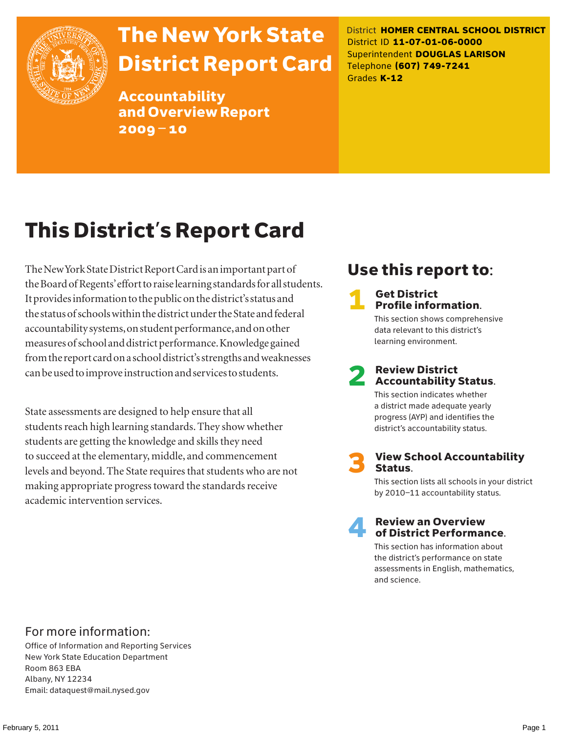

# The New York State District Report Card

Accountability and Overview Report 2009–10

District **HOMER CENTRAL SCHOOL DISTRICT** District ID **11-07-01-06-0000** Superintendent **DOUGLAS LARISON** Telephone **(607) 749-7241** Grades **K-12**

# This District's Report Card

The New York State District Report Card is an important part of the Board of Regents' effort to raise learning standards for all students. It provides information to the public on the district's status and the status of schools within the district under the State and federal accountability systems, on student performance, and on other measures of school and district performance. Knowledge gained from the report card on a school district's strengths and weaknesses can be used to improve instruction and services to students.

State assessments are designed to help ensure that all students reach high learning standards. They show whether students are getting the knowledge and skills they need to succeed at the elementary, middle, and commencement levels and beyond. The State requires that students who are not making appropriate progress toward the standards receive academic intervention services.

### Use this report to:

### **Get District** Profile information.

This section shows comprehensive data relevant to this district's learning environment.

# **2** Review District<br>Accountability Status.

This section indicates whether a district made adequate yearly progress (AYP) and identifies the district's accountability status.

**View School Accountability** Status.

This section lists all schools in your district by 2010–11 accountability status.



# **A** Review an Overview<br>
of District Performance.

This section has information about the district's performance on state assessments in English, mathematics, and science.

### For more information:

Office of Information and Reporting Services New York State Education Department Room 863 EBA Albany, NY 12234 Email: dataquest@mail.nysed.gov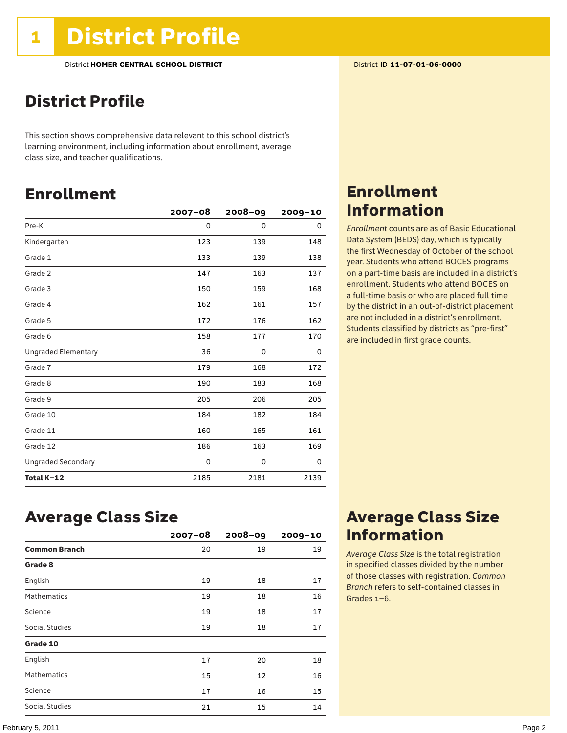### District Profile

This section shows comprehensive data relevant to this school district's learning environment, including information about enrollment, average class size, and teacher qualifications.

### Enrollment

|                            | $2007 - 08$ | 2008-09 | $2009 - 10$ |
|----------------------------|-------------|---------|-------------|
| Pre-K                      | $\Omega$    | 0       | 0           |
| Kindergarten               | 123         | 139     | 148         |
| Grade 1                    | 133         | 139     | 138         |
| Grade 2                    | 147         | 163     | 137         |
| Grade 3                    | 150         | 159     | 168         |
| Grade 4                    | 162         | 161     | 157         |
| Grade 5                    | 172         | 176     | 162         |
| Grade 6                    | 158         | 177     | 170         |
| <b>Ungraded Elementary</b> | 36          | 0       | 0           |
| Grade 7                    | 179         | 168     | 172         |
| Grade 8                    | 190         | 183     | 168         |
| Grade 9                    | 205         | 206     | 205         |
| Grade 10                   | 184         | 182     | 184         |
| Grade 11                   | 160         | 165     | 161         |
| Grade 12                   | 186         | 163     | 169         |
| <b>Ungraded Secondary</b>  | 0           | 0       | 0           |
| Total K-12                 | 2185        | 2181    | 2139        |

### Enrollment Information

*Enrollment* counts are as of Basic Educational Data System (BEDS) day, which is typically the first Wednesday of October of the school year. Students who attend BOCES programs on a part-time basis are included in a district's enrollment. Students who attend BOCES on a full-time basis or who are placed full time by the district in an out-of-district placement are not included in a district's enrollment. Students classified by districts as "pre-first" are included in first grade counts.

### Average Class Size

|                      | $2007 - 08$ | $2008 - 09$ | $2009 - 10$ |
|----------------------|-------------|-------------|-------------|
| <b>Common Branch</b> | 20          | 19          | 19          |
| Grade 8              |             |             |             |
| English              | 19          | 18          | 17          |
| <b>Mathematics</b>   | 19          | 18          | 16          |
| Science              | 19          | 18          | 17          |
| Social Studies       | 19          | 18          | 17          |
| Grade 10             |             |             |             |
| English              | 17          | 20          | 18          |
| <b>Mathematics</b>   | 15          | 12          | 16          |
| Science              | 17          | 16          | 15          |
| Social Studies       | 21          | 15          | 14          |

### Average Class Size Information

*Average Class Size* is the total registration in specified classes divided by the number of those classes with registration. *Common Branch* refers to self-contained classes in Grades 1–6.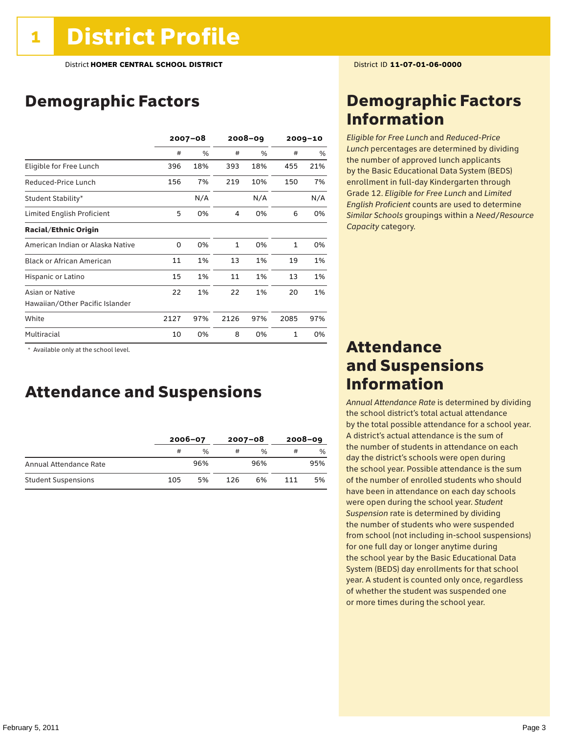### Demographic Factors

|                                  |      | $2007 - 08$ |              | $2008 - 09$ |              | $2009 - 10$ |  |
|----------------------------------|------|-------------|--------------|-------------|--------------|-------------|--|
|                                  | #    | %           | #            | %           | #            | %           |  |
| Eligible for Free Lunch          | 396  | 18%         | 393          | 18%         | 455          | 21%         |  |
| Reduced-Price Lunch              | 156  | 7%          | 219          | 10%         | 150          | 7%          |  |
| Student Stability*               |      | N/A         |              | N/A         |              | N/A         |  |
| Limited English Proficient       | 5    | 0%          | 4            | 0%          | 6            | 0%          |  |
| <b>Racial/Ethnic Origin</b>      |      |             |              |             |              |             |  |
| American Indian or Alaska Native | 0    | 0%          | $\mathbf{1}$ | 0%          | $\mathbf{1}$ | 0%          |  |
| <b>Black or African American</b> | 11   | 1%          | 13           | 1%          | 19           | 1%          |  |
| Hispanic or Latino               | 15   | 1%          | 11           | 1%          | 13           | 1%          |  |
| Asian or Native                  | 22   | 1%          | 22           | 1%          | 20           | 1%          |  |
| Hawaiian/Other Pacific Islander  |      |             |              |             |              |             |  |
| White                            | 2127 | 97%         | 2126         | 97%         | 2085         | 97%         |  |
| Multiracial                      | 10   | 0%          | 8            | 0%          | $\mathbf{1}$ | 0%          |  |

 \* Available only at the school level.

### Attendance and Suspensions

|                            |     | $2006 - 07$   |     | $2007 - 08$   | $2008 - 09$ |     |
|----------------------------|-----|---------------|-----|---------------|-------------|-----|
|                            | #   | $\frac{1}{2}$ | #   | $\frac{0}{0}$ | #           | %   |
| Annual Attendance Rate     |     | 96%           |     | 96%           |             | 95% |
| <b>Student Suspensions</b> | 105 | 5%            | 126 | 6%            | 111         | 5%  |

### Demographic Factors Information

*Eligible for Free Lunch* and *Reduced*-*Price Lunch* percentages are determined by dividing the number of approved lunch applicants by the Basic Educational Data System (BEDS) enrollment in full-day Kindergarten through Grade 12. *Eligible for Free Lunch* and *Limited English Proficient* counts are used to determine *Similar Schools* groupings within a *Need*/*Resource Capacity* category.

### Attendance and Suspensions Information

*Annual Attendance Rate* is determined by dividing the school district's total actual attendance by the total possible attendance for a school year. A district's actual attendance is the sum of the number of students in attendance on each day the district's schools were open during the school year. Possible attendance is the sum of the number of enrolled students who should have been in attendance on each day schools were open during the school year. *Student Suspension* rate is determined by dividing the number of students who were suspended from school (not including in-school suspensions) for one full day or longer anytime during the school year by the Basic Educational Data System (BEDS) day enrollments for that school year. A student is counted only once, regardless of whether the student was suspended one or more times during the school year.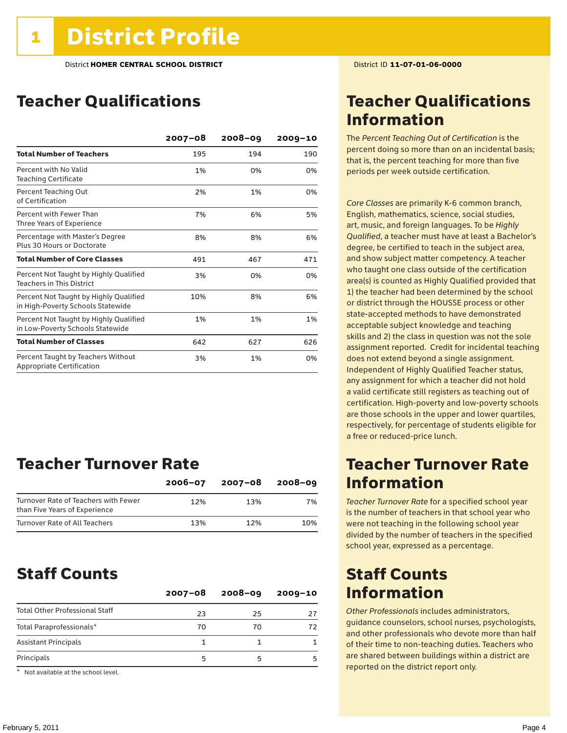### Teacher Qualifications

|                                                                             | 2007-08 | $2008 - 09$ | $2009 - 10$ |
|-----------------------------------------------------------------------------|---------|-------------|-------------|
| <b>Total Number of Teachers</b>                                             | 195     | 194         | 190         |
| Percent with No Valid<br><b>Teaching Certificate</b>                        | 1%      | 0%          | 0%          |
| Percent Teaching Out<br>of Certification                                    | 2%      | 1%          | 0%          |
| Percent with Fewer Than<br>Three Years of Experience                        | 7%      | 6%          | 5%          |
| Percentage with Master's Degree<br>Plus 30 Hours or Doctorate               | 8%      | 8%          | 6%          |
| <b>Total Number of Core Classes</b>                                         | 491     | 467         | 471         |
| Percent Not Taught by Highly Qualified<br><b>Teachers in This District</b>  | 3%      | 0%          | 0%          |
| Percent Not Taught by Highly Qualified<br>in High-Poverty Schools Statewide | 10%     | 8%          | 6%          |
| Percent Not Taught by Highly Qualified<br>in Low-Poverty Schools Statewide  | 1%      | 1%          | 1%          |
| <b>Total Number of Classes</b>                                              | 642     | 627         | 626         |
| Percent Taught by Teachers Without<br>Appropriate Certification             | 3%      | 1%          | 0%          |

### Teacher Turnover Rate

|                                                                       | $2006 - 07$ | 2007-08 | 2008-09 |
|-----------------------------------------------------------------------|-------------|---------|---------|
| Turnover Rate of Teachers with Fewer<br>than Five Years of Experience | 12%         | 13%     | 7%      |
| Turnover Rate of All Teachers                                         | 13%         | 12%     | 10%     |

### Staff Counts

|                                       | $2007 - 08$ | $2008 - 09$ | $2009 - 10$ |
|---------------------------------------|-------------|-------------|-------------|
| <b>Total Other Professional Staff</b> | 23          | 25          | 27          |
| Total Paraprofessionals*              | 70          | 70          | 72          |
| <b>Assistant Principals</b>           |             |             |             |
| Principals                            | 5           |             |             |

\* Not available at the school level.

### Teacher Qualifications Information

The *Percent Teaching Out of Certification* is the percent doing so more than on an incidental basis; that is, the percent teaching for more than five periods per week outside certification.

*Core Classes* are primarily K-6 common branch, English, mathematics, science, social studies, art, music, and foreign languages. To be *Highly Qualified*, a teacher must have at least a Bachelor's degree, be certified to teach in the subject area, and show subject matter competency. A teacher who taught one class outside of the certification area(s) is counted as Highly Qualified provided that 1) the teacher had been determined by the school or district through the HOUSSE process or other state-accepted methods to have demonstrated acceptable subject knowledge and teaching skills and 2) the class in question was not the sole assignment reported. Credit for incidental teaching does not extend beyond a single assignment. Independent of Highly Qualified Teacher status, any assignment for which a teacher did not hold a valid certificate still registers as teaching out of certification. High-poverty and low-poverty schools are those schools in the upper and lower quartiles, respectively, for percentage of students eligible for a free or reduced-price lunch.

### Teacher Turnover Rate Information

*Teacher Turnover Rate* for a specified school year is the number of teachers in that school year who were not teaching in the following school year divided by the number of teachers in the specified school year, expressed as a percentage.

### Staff Counts Information

*Other Professionals* includes administrators, guidance counselors, school nurses, psychologists, and other professionals who devote more than half of their time to non-teaching duties. Teachers who are shared between buildings within a district are reported on the district report only.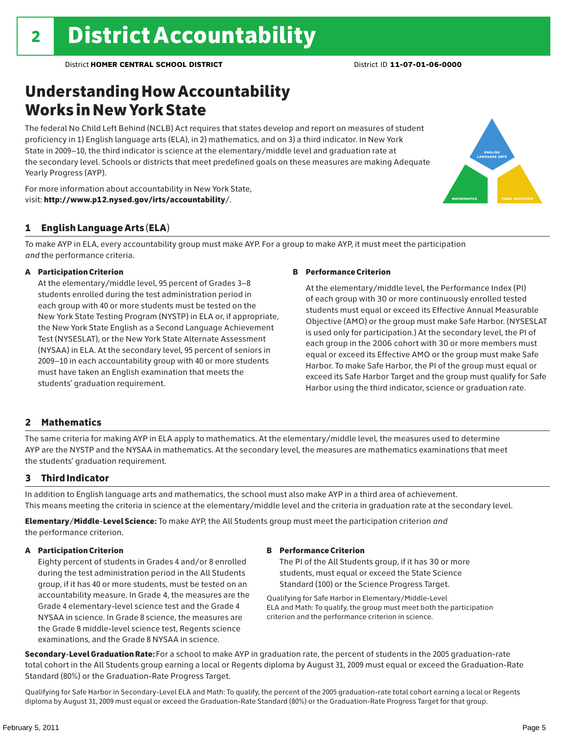### Understanding How Accountability Works in New York State

The federal No Child Left Behind (NCLB) Act requires that states develop and report on measures of student proficiency in 1) English language arts (ELA), in 2) mathematics, and on 3) a third indicator. In New York State in 2009–10, the third indicator is science at the elementary/middle level and graduation rate at the secondary level. Schools or districts that meet predefined goals on these measures are making Adequate Yearly Progress (AYP).



For more information about accountability in New York State, visit: http://www.p12.nysed.gov/irts/accountability/.

#### 1 English Language Arts (ELA)

To make AYP in ELA, every accountability group must make AYP. For a group to make AYP, it must meet the participation *and* the performance criteria.

#### A Participation Criterion

At the elementary/middle level, 95 percent of Grades 3–8 students enrolled during the test administration period in each group with 40 or more students must be tested on the New York State Testing Program (NYSTP) in ELA or, if appropriate, the New York State English as a Second Language Achievement Test (NYSESLAT), or the New York State Alternate Assessment (NYSAA) in ELA. At the secondary level, 95 percent of seniors in 2009–10 in each accountability group with 40 or more students must have taken an English examination that meets the students' graduation requirement.

#### B Performance Criterion

At the elementary/middle level, the Performance Index (PI) of each group with 30 or more continuously enrolled tested students must equal or exceed its Effective Annual Measurable Objective (AMO) or the group must make Safe Harbor. (NYSESLAT is used only for participation.) At the secondary level, the PI of each group in the 2006 cohort with 30 or more members must equal or exceed its Effective AMO or the group must make Safe Harbor. To make Safe Harbor, the PI of the group must equal or exceed its Safe Harbor Target and the group must qualify for Safe Harbor using the third indicator, science or graduation rate.

#### 2 Mathematics

The same criteria for making AYP in ELA apply to mathematics. At the elementary/middle level, the measures used to determine AYP are the NYSTP and the NYSAA in mathematics. At the secondary level, the measures are mathematics examinations that meet the students' graduation requirement.

#### 3 Third Indicator

In addition to English language arts and mathematics, the school must also make AYP in a third area of achievement. This means meeting the criteria in science at the elementary/middle level and the criteria in graduation rate at the secondary level.

Elementary/Middle-Level Science: To make AYP, the All Students group must meet the participation criterion *and* the performance criterion.

#### A Participation Criterion

Eighty percent of students in Grades 4 and/or 8 enrolled during the test administration period in the All Students group, if it has 40 or more students, must be tested on an accountability measure. In Grade 4, the measures are the Grade 4 elementary-level science test and the Grade 4 NYSAA in science. In Grade 8 science, the measures are the Grade 8 middle-level science test, Regents science examinations, and the Grade 8 NYSAA in science.

#### B Performance Criterion

The PI of the All Students group, if it has 30 or more students, must equal or exceed the State Science Standard (100) or the Science Progress Target.

Qualifying for Safe Harbor in Elementary/Middle-Level ELA and Math: To qualify, the group must meet both the participation criterion and the performance criterion in science.

Secondary-Level Graduation Rate: For a school to make AYP in graduation rate, the percent of students in the 2005 graduation-rate total cohort in the All Students group earning a local or Regents diploma by August 31, 2009 must equal or exceed the Graduation-Rate Standard (80%) or the Graduation-Rate Progress Target.

Qualifying for Safe Harbor in Secondary-Level ELA and Math: To qualify, the percent of the 2005 graduation-rate total cohort earning a local or Regents diploma by August 31, 2009 must equal or exceed the Graduation-Rate Standard (80%) or the Graduation-Rate Progress Target for that group.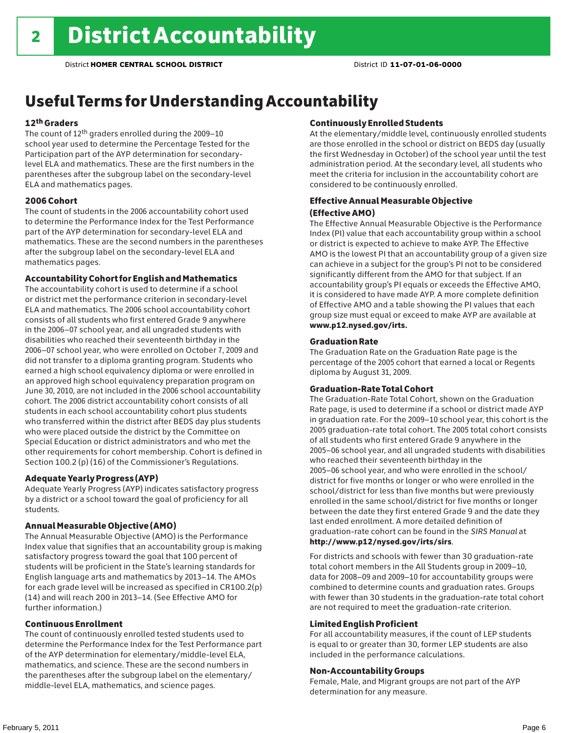### Useful Terms for Understanding Accountability

#### 12th Graders

The count of 12th graders enrolled during the 2009–10 school year used to determine the Percentage Tested for the Participation part of the AYP determination for secondarylevel ELA and mathematics. These are the first numbers in the parentheses after the subgroup label on the secondary-level ELA and mathematics pages.

#### 2006 Cohort

The count of students in the 2006 accountability cohort used to determine the Performance Index for the Test Performance part of the AYP determination for secondary-level ELA and mathematics. These are the second numbers in the parentheses after the subgroup label on the secondary-level ELA and mathematics pages.

#### Accountability Cohort for English and Mathematics

The accountability cohort is used to determine if a school or district met the performance criterion in secondary-level ELA and mathematics. The 2006 school accountability cohort consists of all students who first entered Grade 9 anywhere in the 2006–07 school year, and all ungraded students with disabilities who reached their seventeenth birthday in the 2006–07 school year, who were enrolled on October 7, 2009 and did not transfer to a diploma granting program. Students who earned a high school equivalency diploma or were enrolled in an approved high school equivalency preparation program on June 30, 2010, are not included in the 2006 school accountability cohort. The 2006 district accountability cohort consists of all students in each school accountability cohort plus students who transferred within the district after BEDS day plus students who were placed outside the district by the Committee on Special Education or district administrators and who met the other requirements for cohort membership. Cohort is defined in Section 100.2 (p) (16) of the Commissioner's Regulations.

#### Adequate Yearly Progress (AYP)

Adequate Yearly Progress (AYP) indicates satisfactory progress by a district or a school toward the goal of proficiency for all students.

#### Annual Measurable Objective (AMO)

The Annual Measurable Objective (AMO) is the Performance Index value that signifies that an accountability group is making satisfactory progress toward the goal that 100 percent of students will be proficient in the State's learning standards for English language arts and mathematics by 2013–14. The AMOs for each grade level will be increased as specified in CR100.2(p) (14) and will reach 200 in 2013–14. (See Effective AMO for further information.)

#### Continuous Enrollment

The count of continuously enrolled tested students used to determine the Performance Index for the Test Performance part of the AYP determination for elementary/middle-level ELA, mathematics, and science. These are the second numbers in the parentheses after the subgroup label on the elementary/ middle-level ELA, mathematics, and science pages.

#### Continuously Enrolled Students

At the elementary/middle level, continuously enrolled students are those enrolled in the school or district on BEDS day (usually the first Wednesday in October) of the school year until the test administration period. At the secondary level, all students who meet the criteria for inclusion in the accountability cohort are considered to be continuously enrolled.

#### Effective Annual Measurable Objective (Effective AMO)

The Effective Annual Measurable Objective is the Performance Index (PI) value that each accountability group within a school or district is expected to achieve to make AYP. The Effective AMO is the lowest PI that an accountability group of a given size can achieve in a subject for the group's PI not to be considered significantly different from the AMO for that subject. If an accountability group's PI equals or exceeds the Effective AMO, it is considered to have made AYP. A more complete definition of Effective AMO and a table showing the PI values that each group size must equal or exceed to make AYP are available at www.p12.nysed.gov/irts.

#### Graduation Rate

The Graduation Rate on the Graduation Rate page is the percentage of the 2005 cohort that earned a local or Regents diploma by August 31, 2009.

#### Graduation-Rate Total Cohort

The Graduation-Rate Total Cohort, shown on the Graduation Rate page, is used to determine if a school or district made AYP in graduation rate. For the 2009–10 school year, this cohort is the 2005 graduation-rate total cohort. The 2005 total cohort consists of all students who first entered Grade 9 anywhere in the 2005–06 school year, and all ungraded students with disabilities who reached their seventeenth birthday in the 2005–06 school year, and who were enrolled in the school/ district for five months or longer or who were enrolled in the school/district for less than five months but were previously enrolled in the same school/district for five months or longer between the date they first entered Grade 9 and the date they last ended enrollment. A more detailed definition of graduation-rate cohort can be found in the *SIRS Manual* at http://www.p12/nysed.gov/irts/sirs.

For districts and schools with fewer than 30 graduation-rate total cohort members in the All Students group in 2009–10, data for 2008–09 and 2009–10 for accountability groups were combined to determine counts and graduation rates. Groups with fewer than 30 students in the graduation-rate total cohort are not required to meet the graduation-rate criterion.

#### Limited English Proficient

For all accountability measures, if the count of LEP students is equal to or greater than 30, former LEP students are also included in the performance calculations.

#### Non-Accountability Groups

Female, Male, and Migrant groups are not part of the AYP determination for any measure.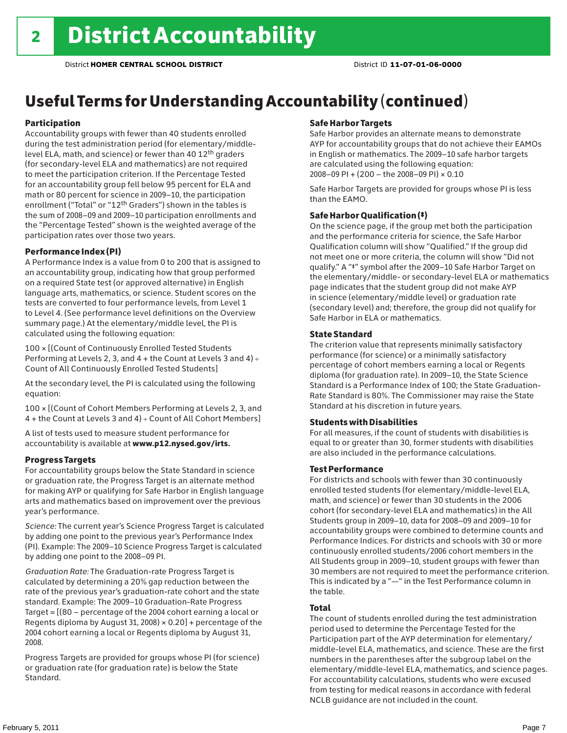### Useful Terms for Understanding Accountability (continued)

#### Participation

Accountability groups with fewer than 40 students enrolled during the test administration period (for elementary/middlelevel ELA, math, and science) or fewer than 40 12th graders (for secondary-level ELA and mathematics) are not required to meet the participation criterion. If the Percentage Tested for an accountability group fell below 95 percent for ELA and math or 80 percent for science in 2009–10, the participation enrollment ("Total" or "12th Graders") shown in the tables is the sum of 2008–09 and 2009–10 participation enrollments and the "Percentage Tested" shown is the weighted average of the participation rates over those two years.

#### Performance Index (PI)

A Performance Index is a value from 0 to 200 that is assigned to an accountability group, indicating how that group performed on a required State test (or approved alternative) in English language arts, mathematics, or science. Student scores on the tests are converted to four performance levels, from Level 1 to Level 4. (See performance level definitions on the Overview summary page.) At the elementary/middle level, the PI is calculated using the following equation:

100 × [(Count of Continuously Enrolled Tested Students Performing at Levels 2, 3, and 4 + the Count at Levels 3 and 4) Count of All Continuously Enrolled Tested Students]

At the secondary level, the PI is calculated using the following equation:

100 × [(Count of Cohort Members Performing at Levels 2, 3, and 4 + the Count at Levels 3 and 4) Count of All Cohort Members]

A list of tests used to measure student performance for accountability is available at www.p12.nysed.gov/irts.

#### Progress Targets

For accountability groups below the State Standard in science or graduation rate, the Progress Target is an alternate method for making AYP or qualifying for Safe Harbor in English language arts and mathematics based on improvement over the previous year's performance.

*Science:* The current year's Science Progress Target is calculated by adding one point to the previous year's Performance Index (PI). Example: The 2009–10 Science Progress Target is calculated by adding one point to the 2008–09 PI.

*Graduation Rate:* The Graduation-rate Progress Target is calculated by determining a 20% gap reduction between the rate of the previous year's graduation-rate cohort and the state standard. Example: The 2009–10 Graduation-Rate Progress Target = [(80 – percentage of the 2004 cohort earning a local or Regents diploma by August 31, 2008)  $\times$  0.20] + percentage of the 2004 cohort earning a local or Regents diploma by August 31, 2008.

Progress Targets are provided for groups whose PI (for science) or graduation rate (for graduation rate) is below the State Standard.

#### Safe Harbor Targets

Safe Harbor provides an alternate means to demonstrate AYP for accountability groups that do not achieve their EAMOs in English or mathematics. The 2009–10 safe harbor targets are calculated using the following equation: 2008–09 PI + (200 – the 2008–09 PI) × 0.10

Safe Harbor Targets are provided for groups whose PI is less than the EAMO.

#### Safe Harbor Qualification (‡)

On the science page, if the group met both the participation and the performance criteria for science, the Safe Harbor Qualification column will show "Qualified." If the group did not meet one or more criteria, the column will show "Did not qualify." A "‡" symbol after the 2009–10 Safe Harbor Target on the elementary/middle- or secondary-level ELA or mathematics page indicates that the student group did not make AYP in science (elementary/middle level) or graduation rate (secondary level) and; therefore, the group did not qualify for Safe Harbor in ELA or mathematics.

#### State Standard

The criterion value that represents minimally satisfactory performance (for science) or a minimally satisfactory percentage of cohort members earning a local or Regents diploma (for graduation rate). In 2009–10, the State Science Standard is a Performance Index of 100; the State Graduation-Rate Standard is 80%. The Commissioner may raise the State Standard at his discretion in future years.

#### Students with Disabilities

For all measures, if the count of students with disabilities is equal to or greater than 30, former students with disabilities are also included in the performance calculations.

#### Test Performance

For districts and schools with fewer than 30 continuously enrolled tested students (for elementary/middle-level ELA, math, and science) or fewer than 30 students in the 2006 cohort (for secondary-level ELA and mathematics) in the All Students group in 2009–10, data for 2008–09 and 2009–10 for accountability groups were combined to determine counts and Performance Indices. For districts and schools with 30 or more continuously enrolled students/2006 cohort members in the All Students group in 2009–10, student groups with fewer than 30 members are not required to meet the performance criterion. This is indicated by a "—" in the Test Performance column in the table.

#### Total

The count of students enrolled during the test administration period used to determine the Percentage Tested for the Participation part of the AYP determination for elementary/ middle-level ELA, mathematics, and science. These are the first numbers in the parentheses after the subgroup label on the elementary/middle-level ELA, mathematics, and science pages. For accountability calculations, students who were excused from testing for medical reasons in accordance with federal NCLB guidance are not included in the count.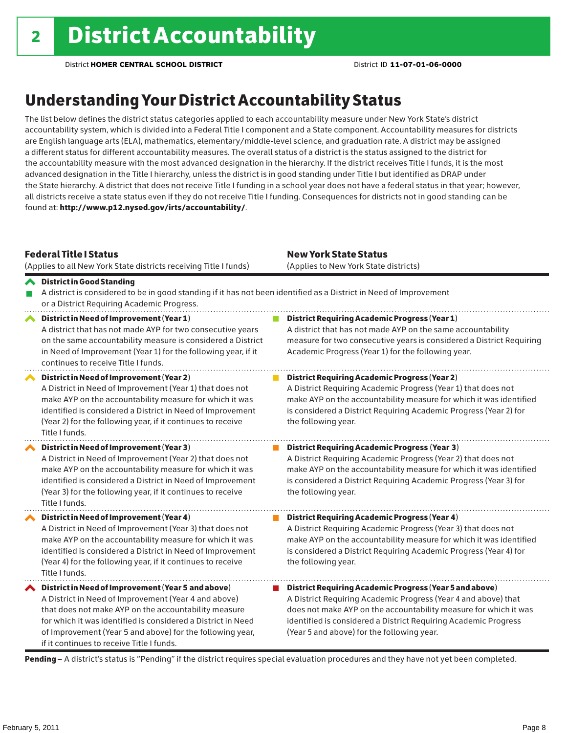## Understanding Your District Accountability Status

The list below defines the district status categories applied to each accountability measure under New York State's district accountability system, which is divided into a Federal Title I component and a State component. Accountability measures for districts are English language arts (ELA), mathematics, elementary/middle-level science, and graduation rate. A district may be assigned a different status for different accountability measures. The overall status of a district is the status assigned to the district for the accountability measure with the most advanced designation in the hierarchy. If the district receives Title I funds, it is the most advanced designation in the Title I hierarchy, unless the district is in good standing under Title I but identified as DRAP under the State hierarchy. A district that does not receive Title I funding in a school year does not have a federal status in that year; however, all districts receive a state status even if they do not receive Title I funding. Consequences for districts not in good standing can be found at: http://www.p12.nysed.gov/irts/accountability/.

|                            | <b>Federal Title   Status</b><br>(Applies to all New York State districts receiving Title I funds)                                                                                                                                                                                                                                             | <b>New York State Status</b><br>(Applies to New York State districts) |                                                                                                                                                                                                                                                                                                                |  |  |  |
|----------------------------|------------------------------------------------------------------------------------------------------------------------------------------------------------------------------------------------------------------------------------------------------------------------------------------------------------------------------------------------|-----------------------------------------------------------------------|----------------------------------------------------------------------------------------------------------------------------------------------------------------------------------------------------------------------------------------------------------------------------------------------------------------|--|--|--|
|                            | A District in Good Standing<br>A district is considered to be in good standing if it has not been identified as a District in Need of Improvement<br>or a District Requiring Academic Progress.                                                                                                                                                |                                                                       |                                                                                                                                                                                                                                                                                                                |  |  |  |
| $\boldsymbol{\mathcal{N}}$ | District in Need of Improvement (Year 1)<br>A district that has not made AYP for two consecutive years<br>on the same accountability measure is considered a District<br>in Need of Improvement (Year 1) for the following year, if it<br>continues to receive Title I funds.                                                                  |                                                                       | <b>District Requiring Academic Progress (Year 1)</b><br>A district that has not made AYP on the same accountability<br>measure for two consecutive years is considered a District Requiring<br>Academic Progress (Year 1) for the following year.                                                              |  |  |  |
|                            | District in Need of Improvement (Year 2)<br>A District in Need of Improvement (Year 1) that does not<br>make AYP on the accountability measure for which it was<br>identified is considered a District in Need of Improvement<br>(Year 2) for the following year, if it continues to receive<br>Title I funds.                                 |                                                                       | <b>District Requiring Academic Progress (Year 2)</b><br>A District Requiring Academic Progress (Year 1) that does not<br>make AYP on the accountability measure for which it was identified<br>is considered a District Requiring Academic Progress (Year 2) for<br>the following year.                        |  |  |  |
|                            | District in Need of Improvement (Year 3)<br>A District in Need of Improvement (Year 2) that does not<br>make AYP on the accountability measure for which it was<br>identified is considered a District in Need of Improvement<br>(Year 3) for the following year, if it continues to receive<br>Title I funds.                                 |                                                                       | <b>District Requiring Academic Progress (Year 3)</b><br>A District Requiring Academic Progress (Year 2) that does not<br>make AYP on the accountability measure for which it was identified<br>is considered a District Requiring Academic Progress (Year 3) for<br>the following year.                        |  |  |  |
|                            | District in Need of Improvement (Year 4)<br>A District in Need of Improvement (Year 3) that does not<br>make AYP on the accountability measure for which it was<br>identified is considered a District in Need of Improvement<br>(Year 4) for the following year, if it continues to receive<br>Title I funds.                                 |                                                                       | <b>District Requiring Academic Progress (Year 4)</b><br>A District Requiring Academic Progress (Year 3) that does not<br>make AYP on the accountability measure for which it was identified<br>is considered a District Requiring Academic Progress (Year 4) for<br>the following year.                        |  |  |  |
|                            | ◆ District in Need of Improvement (Year 5 and above)<br>A District in Need of Improvement (Year 4 and above)<br>that does not make AYP on the accountability measure<br>for which it was identified is considered a District in Need<br>of Improvement (Year 5 and above) for the following year,<br>if it continues to receive Title I funds. |                                                                       | District Requiring Academic Progress (Year 5 and above)<br>A District Requiring Academic Progress (Year 4 and above) that<br>does not make AYP on the accountability measure for which it was<br>identified is considered a District Requiring Academic Progress<br>(Year 5 and above) for the following year. |  |  |  |

Pending - A district's status is "Pending" if the district requires special evaluation procedures and they have not yet been completed.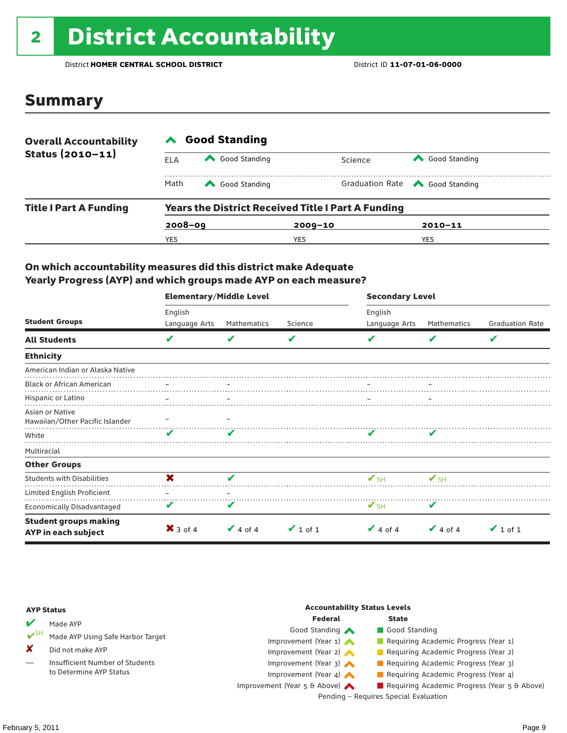# 2 District Accountability

District **HOMER CENTRAL SCHOOL DISTRICT** District ID **11-07-01-06-0000**

### Summary

| <b>Overall Accountability</b><br>Status $(2010 - 11)$ | <b>Good Standing</b>                                      |               |             |                                       |  |  |  |
|-------------------------------------------------------|-----------------------------------------------------------|---------------|-------------|---------------------------------------|--|--|--|
|                                                       | ELA                                                       | Good Standing | Science     | Good Standing                         |  |  |  |
|                                                       | Math                                                      | Good Standing |             | Graduation Rate <a> Good Standing</a> |  |  |  |
| <b>Title I Part A Funding</b>                         | <b>Years the District Received Title I Part A Funding</b> |               |             |                                       |  |  |  |
|                                                       | $2008 - 09$                                               |               | $2009 - 10$ | $2010 - 11$                           |  |  |  |
|                                                       | YES                                                       |               | YES         | YES                                   |  |  |  |

#### On which accountability measures did this district make Adequate Yearly Progress (AYP) and which groups made AYP on each measure?

|                                                     | <b>Elementary/Middle Level</b> |               |               | <b>Secondary Level</b>   |               |                        |  |
|-----------------------------------------------------|--------------------------------|---------------|---------------|--------------------------|---------------|------------------------|--|
|                                                     | English                        |               |               | English                  |               |                        |  |
| <b>Student Groups</b>                               | Language Arts                  | Mathematics   | Science       | Language Arts            | Mathematics   | <b>Graduation Rate</b> |  |
| <b>All Students</b>                                 | V                              | V             | V             |                          | V             | V                      |  |
| <b>Ethnicity</b>                                    |                                |               |               |                          |               |                        |  |
| American Indian or Alaska Native                    |                                |               |               |                          |               |                        |  |
| <b>Black or African American</b>                    |                                |               |               |                          |               |                        |  |
| Hispanic or Latino                                  |                                |               |               |                          |               |                        |  |
| Asian or Native<br>Hawaiian/Other Pacific Islander  |                                |               |               |                          |               |                        |  |
| White                                               | v                              | v             |               |                          |               |                        |  |
| Multiracial                                         |                                |               |               |                          |               |                        |  |
| <b>Other Groups</b>                                 |                                |               |               |                          |               |                        |  |
| <b>Students with Disabilities</b>                   | X                              | V             |               | $\mathbf{V}_{\text{SH}}$ | $V_{\rm SH}$  |                        |  |
| Limited English Proficient                          |                                |               |               |                          |               |                        |  |
| <b>Economically Disadvantaged</b>                   | V                              | V             |               | $\mathbf{V}_{\text{SH}}$ | v             |                        |  |
| <b>Student groups making</b><br>AYP in each subject | $\mathsf{X}$ 3 of 4            | $\vee$ 4 of 4 | $\vee$ 1 of 1 | $\vee$ 4 of 4            | $\vee$ 4 of 4 | $\vee$ 1 of 1          |  |

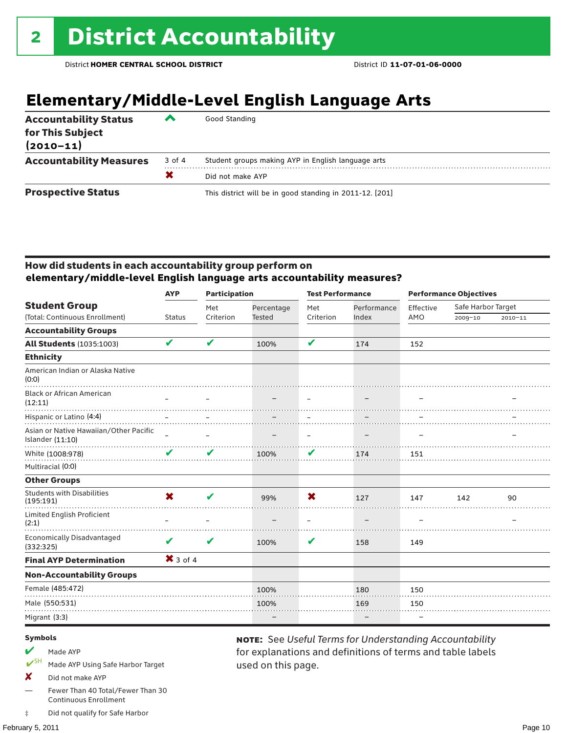### **Elementary/Middle-Level English Language Arts**

| <b>Accountability Status</b><br>for This Subject<br>$(2010 - 11)$ | ‴      | Good Standing                                            |
|-------------------------------------------------------------------|--------|----------------------------------------------------------|
| <b>Accountability Measures</b>                                    | 3 of 4 | Student groups making AYP in English language arts       |
|                                                                   | X      | Did not make AYP                                         |
| <b>Prospective Status</b>                                         |        | This district will be in good standing in 2011-12. [201] |

#### How did students in each accountability group perform on **elementary/middle-level English language arts accountability measures?**

|                                                            | <b>Participation</b><br><b>AYP</b> |           |               | <b>Test Performance</b>  |             | <b>Performance Objectives</b> |                    |         |
|------------------------------------------------------------|------------------------------------|-----------|---------------|--------------------------|-------------|-------------------------------|--------------------|---------|
| <b>Student Group</b>                                       |                                    | Met       | Percentage    | Met                      | Performance | Effective                     | Safe Harbor Target |         |
| (Total: Continuous Enrollment)                             | <b>Status</b>                      | Criterion | <b>Tested</b> | Criterion                | Index       | AMO                           | 2009-10            | 2010-11 |
| <b>Accountability Groups</b>                               |                                    |           |               |                          |             |                               |                    |         |
| <b>All Students (1035:1003)</b>                            | V                                  | V         | 100%          | V                        | 174         | 152                           |                    |         |
| <b>Ethnicity</b>                                           |                                    |           |               |                          |             |                               |                    |         |
| American Indian or Alaska Native<br>(0:0)                  |                                    |           |               |                          |             |                               |                    |         |
| <b>Black or African American</b><br>(12:11)                |                                    |           |               |                          |             |                               |                    |         |
| Hispanic or Latino (4:4)                                   |                                    |           |               |                          |             |                               |                    |         |
| Asian or Native Hawaiian/Other Pacific<br>Islander (11:10) |                                    |           |               | $\qquad \qquad -$        |             |                               |                    |         |
| White (1008:978)                                           | V                                  | V         | 100%          | V                        | 174         | 151                           |                    |         |
| Multiracial (0:0)                                          |                                    |           |               |                          |             |                               |                    |         |
| <b>Other Groups</b>                                        |                                    |           |               |                          |             |                               |                    |         |
| <b>Students with Disabilities</b><br>(195:191)             | $\boldsymbol{\mathsf{x}}$          | ✔         | 99%           | X                        | 127         | 147                           | 142                | 90      |
| <b>Limited English Proficient</b><br>(2:1)                 |                                    |           |               | $\overline{\phantom{0}}$ |             |                               |                    |         |
| <b>Economically Disadvantaged</b><br>(332:325)             | V                                  | V         | 100%          | V                        | 158         | 149                           |                    |         |
| <b>Final AYP Determination</b>                             | $X$ 3 of 4                         |           |               |                          |             |                               |                    |         |
| <b>Non-Accountability Groups</b>                           |                                    |           |               |                          |             |                               |                    |         |
| Female (485:472)                                           |                                    |           | 100%          |                          | 180         | 150                           |                    |         |
| Male (550:531)                                             |                                    |           | 100%          |                          | 169         | 150                           |                    |         |
| Migrant (3:3)                                              |                                    |           |               |                          |             |                               |                    |         |
|                                                            |                                    |           |               |                          |             |                               |                    |         |

used on this page.

note: See *Useful Terms for Understanding Accountability*  for explanations and definitions of terms and table labels

#### Symbols

- Made AYP
- Made AYP Using Safe Harbor Target
- X Did not make AYP
- Fewer Than 40 Total/Fewer Than 30 Continuous Enrollment
- ‡ Did not qualify for Safe Harbor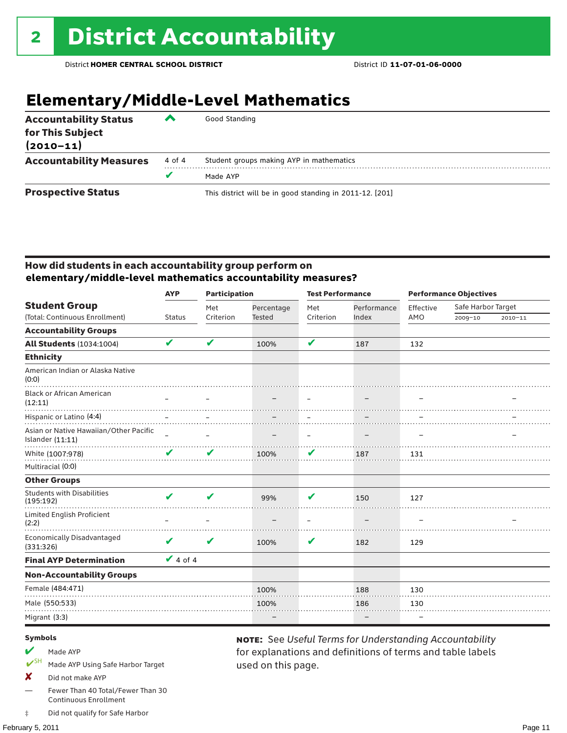## **Elementary/Middle-Level Mathematics**

| <b>Accountability Status</b><br>for This Subject<br>$(2010 - 11)$ | ▰      | Good Standing                                            |
|-------------------------------------------------------------------|--------|----------------------------------------------------------|
| <b>Accountability Measures</b>                                    | 4 of 4 | Student groups making AYP in mathematics                 |
|                                                                   |        | Made AYP                                                 |
| <b>Prospective Status</b>                                         |        | This district will be in good standing in 2011-12. [201] |

#### How did students in each accountability group perform on **elementary/middle-level mathematics accountability measures?**

|                                                            | <b>AYP</b>    | <b>Participation</b> |               | <b>Test Performance</b> |             | <b>Performance Objectives</b> |                    |             |
|------------------------------------------------------------|---------------|----------------------|---------------|-------------------------|-------------|-------------------------------|--------------------|-------------|
| <b>Student Group</b>                                       |               | Met                  | Percentage    | Met                     | Performance | Effective                     | Safe Harbor Target |             |
| (Total: Continuous Enrollment)                             | <b>Status</b> | Criterion            | <b>Tested</b> | Criterion               | Index       | AMO                           | 2009-10            | $2010 - 11$ |
| <b>Accountability Groups</b>                               |               |                      |               |                         |             |                               |                    |             |
| <b>All Students (1034:1004)</b>                            | V             | V                    | 100%          | V                       | 187         | 132                           |                    |             |
| <b>Ethnicity</b>                                           |               |                      |               |                         |             |                               |                    |             |
| American Indian or Alaska Native<br>(0:0)                  |               |                      |               |                         |             |                               |                    |             |
| <b>Black or African American</b><br>(12:11)                |               |                      |               |                         |             |                               |                    |             |
| Hispanic or Latino (4:4)                                   |               |                      |               |                         |             |                               |                    |             |
| Asian or Native Hawaiian/Other Pacific<br>Islander (11:11) |               |                      |               |                         |             |                               |                    |             |
| White (1007:978)                                           | V             | V                    | 100%          | V                       | 187         | 131                           |                    |             |
| Multiracial (0:0)                                          |               |                      |               |                         |             |                               |                    |             |
| <b>Other Groups</b>                                        |               |                      |               |                         |             |                               |                    |             |
| <b>Students with Disabilities</b><br>(195:192)             | V             | ✔                    | 99%           | V                       | 150         | 127                           |                    |             |
| Limited English Proficient<br>(2:2)                        |               |                      |               |                         |             |                               |                    |             |
| <b>Economically Disadvantaged</b><br>(331:326)             | V             | V                    | 100%          | V                       | 182         | 129                           |                    |             |
| <b>Final AYP Determination</b>                             | $\vee$ 4 of 4 |                      |               |                         |             |                               |                    |             |
| <b>Non-Accountability Groups</b>                           |               |                      |               |                         |             |                               |                    |             |
| Female (484:471)                                           |               |                      | 100%          |                         | 188         | 130                           |                    |             |
| Male (550:533)                                             |               |                      | 100%          |                         | 186         | 130                           |                    |             |
| Migrant (3:3)                                              |               |                      |               |                         |             |                               |                    |             |
|                                                            |               |                      |               |                         |             |                               |                    |             |

used on this page.

note: See *Useful Terms for Understanding Accountability*  for explanations and definitions of terms and table labels

#### Symbols

- Made AYP
- Made AYP Using Safe Harbor Target
- X Did not make AYP
- Fewer Than 40 Total/Fewer Than 30 Continuous Enrollment
- ‡ Did not qualify for Safe Harbor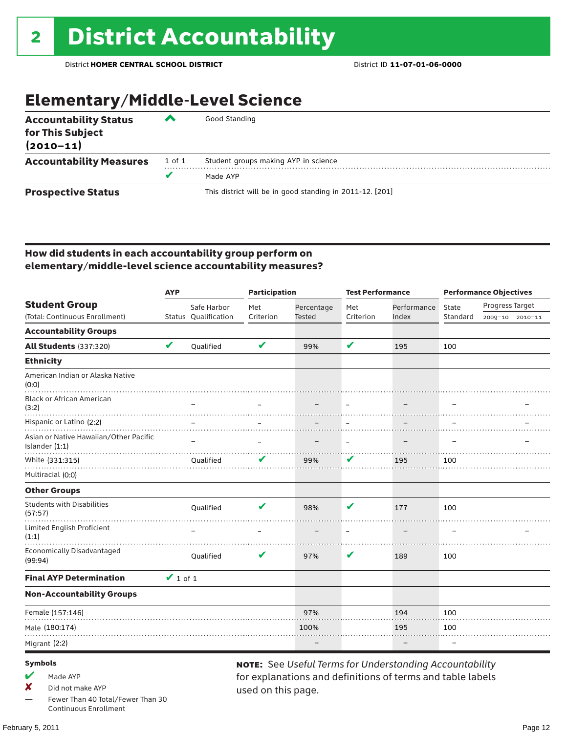### Elementary/Middle-Level Science

| <b>Accountability Status</b><br>for This Subject<br>$(2010 - 11)$ | ‴      | Good Standing                                            |
|-------------------------------------------------------------------|--------|----------------------------------------------------------|
| <b>Accountability Measures</b>                                    | 1 of 1 | Student groups making AYP in science                     |
|                                                                   |        | Made AYP                                                 |
| <b>Prospective Status</b>                                         |        | This district will be in good standing in 2011-12. [201] |

#### How did students in each accountability group perform on elementary/middle-level science accountability measures?

|                                                          |               | <b>AYP</b>           |           | <b>Participation</b> |           | <b>Test Performance</b> | <b>Performance Objectives</b> |                 |                 |
|----------------------------------------------------------|---------------|----------------------|-----------|----------------------|-----------|-------------------------|-------------------------------|-----------------|-----------------|
| <b>Student Group</b>                                     |               | Safe Harbor          | Met       | Percentage           | Met       | Performance             | State                         | Progress Target |                 |
| (Total: Continuous Enrollment)                           |               | Status Oualification | Criterion | <b>Tested</b>        | Criterion | Index                   | Standard                      |                 | 2009-10 2010-11 |
| <b>Accountability Groups</b>                             |               |                      |           |                      |           |                         |                               |                 |                 |
| <b>All Students (337:320)</b>                            | V             | Qualified            | V         | 99%                  | V         | 195                     | 100                           |                 |                 |
| <b>Ethnicity</b>                                         |               |                      |           |                      |           |                         |                               |                 |                 |
| American Indian or Alaska Native<br>(0:0)                |               |                      |           |                      |           |                         |                               |                 |                 |
| <b>Black or African American</b><br>(3:2)                |               |                      |           |                      |           |                         |                               |                 |                 |
| Hispanic or Latino (2:2)                                 |               |                      |           |                      |           |                         |                               |                 |                 |
| Asian or Native Hawaiian/Other Pacific<br>Islander (1:1) |               |                      |           |                      |           |                         |                               |                 |                 |
| White (331:315)                                          |               | Qualified            |           | 99%                  | V         | 195                     | 100                           |                 |                 |
| Multiracial (0:0)                                        |               |                      |           |                      |           |                         |                               |                 |                 |
| <b>Other Groups</b>                                      |               |                      |           |                      |           |                         |                               |                 |                 |
| <b>Students with Disabilities</b><br>(57:57)             |               | Qualified            | ✔         | 98%                  | V         | 177                     | 100                           |                 |                 |
| Limited English Proficient<br>(1:1)                      |               |                      |           |                      |           |                         |                               |                 |                 |
| <b>Economically Disadvantaged</b><br>(99:94)             |               | Qualified            | V         | 97%                  | V         | 189                     | 100                           |                 |                 |
| <b>Final AYP Determination</b>                           | $\vee$ 1 of 1 |                      |           |                      |           |                         |                               |                 |                 |
| <b>Non-Accountability Groups</b>                         |               |                      |           |                      |           |                         |                               |                 |                 |
| Female (157:146)                                         |               |                      |           | 97%                  |           | 194                     | 100                           |                 |                 |
| Male (180:174)                                           |               |                      |           | 100%                 |           | 195                     | 100                           |                 |                 |
| Migrant (2:2)                                            |               |                      |           |                      |           |                         |                               |                 |                 |
|                                                          |               |                      |           |                      |           |                         |                               |                 |                 |

used on this page.

note: See *Useful Terms for Understanding Accountability*  for explanations and definitions of terms and table labels

#### Symbols

- $M$  Made AYP
- ✘ Did not make AYP
- Fewer Than 40 Total/Fewer Than 30 Continuous Enrollment

February 5, 2011 **Page 12**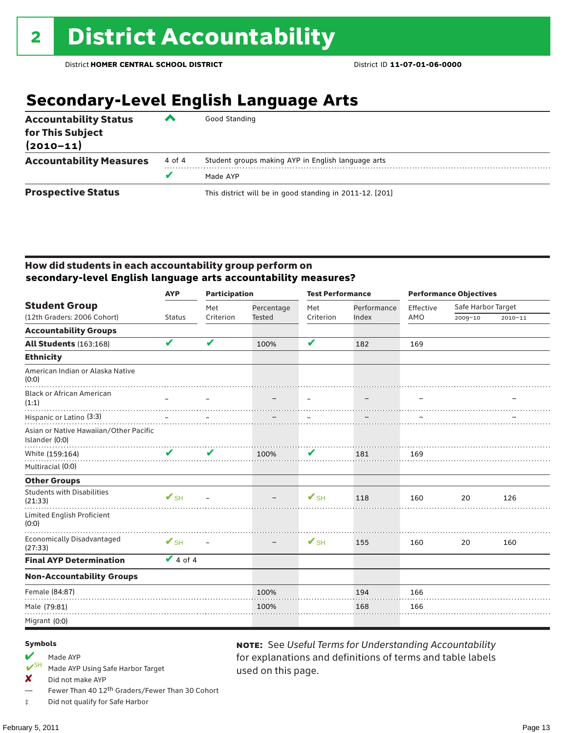### **Secondary-Level English Language Arts**

| <b>Accountability Status</b><br>for This Subject<br>$(2010 - 11)$ | ‴      | Good Standing                                            |
|-------------------------------------------------------------------|--------|----------------------------------------------------------|
| <b>Accountability Measures</b>                                    | 4 of 4 | Student groups making AYP in English language arts       |
|                                                                   |        | Made AYP                                                 |
| <b>Prospective Status</b>                                         |        | This district will be in good standing in 2011-12. [201] |

#### How did students in each accountability group perform on **secondary-level English language arts accountability measures?**

|                                                          | <b>AYP</b>               | <b>Participation</b> |               | <b>Test Performance</b> |             | <b>Performance Objectives</b> |                    |             |
|----------------------------------------------------------|--------------------------|----------------------|---------------|-------------------------|-------------|-------------------------------|--------------------|-------------|
| <b>Student Group</b>                                     |                          | Met                  | Percentage    | Met                     | Performance | Effective                     | Safe Harbor Target |             |
| (12th Graders: 2006 Cohort)                              | <b>Status</b>            | Criterion            | <b>Tested</b> | Criterion               | Index       | AMO                           | 2009-10            | $2010 - 11$ |
| <b>Accountability Groups</b>                             |                          |                      |               |                         |             |                               |                    |             |
| <b>All Students (163:168)</b>                            | V                        | V                    | 100%          | V                       | 182         | 169                           |                    |             |
| <b>Ethnicity</b>                                         |                          |                      |               |                         |             |                               |                    |             |
| American Indian or Alaska Native<br>(0:0)                |                          |                      |               |                         |             |                               |                    |             |
| <b>Black or African American</b><br>(1:1)                |                          |                      |               |                         |             |                               |                    |             |
| Hispanic or Latino (3:3)                                 |                          |                      |               |                         |             |                               |                    |             |
| Asian or Native Hawaiian/Other Pacific<br>Islander (0:0) |                          |                      |               |                         |             |                               |                    |             |
| White (159:164)                                          | V                        | $\mathbf{v}$         | 100%          | V                       | 181         | 169                           |                    |             |
| Multiracial (0:0)                                        |                          |                      |               |                         |             |                               |                    |             |
| <b>Other Groups</b>                                      |                          |                      |               |                         |             |                               |                    |             |
| <b>Students with Disabilities</b><br>(21:33)             | $V$ SH                   |                      |               | $V_{\text{SH}}$         | 118         | 160                           | 20                 | 126         |
| Limited English Proficient<br>(0:0)                      |                          |                      |               |                         |             |                               |                    |             |
| Economically Disadvantaged<br>(27:33)                    | $\mathbf{V}_{\text{SH}}$ |                      |               | $V_{\text{SH}}$         | 155         | 160                           | 20                 | 160         |
| <b>Final AYP Determination</b>                           | $\sqrt{4 \text{ of } 4}$ |                      |               |                         |             |                               |                    |             |
| <b>Non-Accountability Groups</b>                         |                          |                      |               |                         |             |                               |                    |             |
| Female (84:87)                                           |                          |                      | 100%          |                         | 194         | 166                           |                    |             |
| Male (79:81)                                             |                          |                      | 100%          |                         | 168         | 166                           |                    |             |
| Migrant (0:0)                                            |                          |                      |               |                         |             |                               |                    |             |

used on this page.

note: See *Useful Terms for Understanding Accountability*  for explanations and definitions of terms and table labels

#### Symbols

### Made AYP<br>
<del>V</del>SH Made AVP

- Made AYP Using Safe Harbor Target
- $\boldsymbol{X}$  Did not make AYP
- Fewer Than 40 12<sup>th</sup> Graders/Fewer Than 30 Cohort
- ‡ Did not qualify for Safe Harbor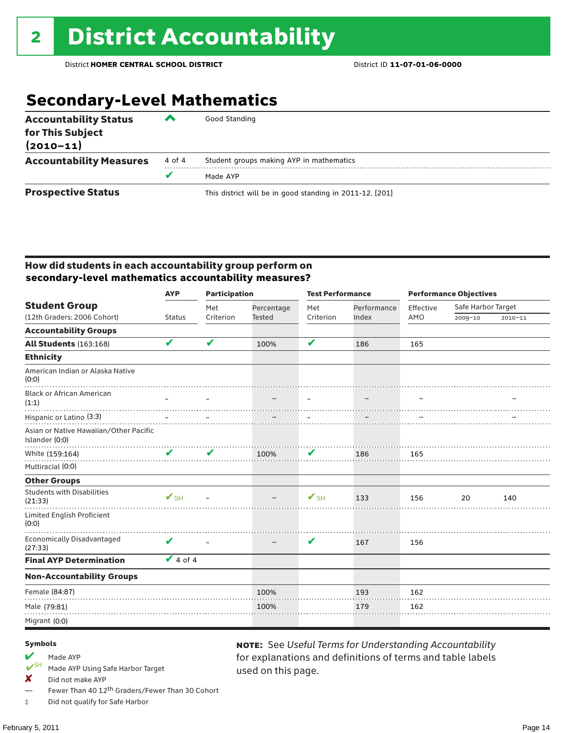### **Secondary-Level Mathematics**

| <b>Accountability Status</b><br>for This Subject<br>$(2010 - 11)$ | ‴      | Good Standing                                            |
|-------------------------------------------------------------------|--------|----------------------------------------------------------|
| <b>Accountability Measures</b>                                    | 4 of 4 | Student groups making AYP in mathematics                 |
|                                                                   |        | Made AYP                                                 |
| <b>Prospective Status</b>                                         |        | This district will be in good standing in 2011-12. [201] |

#### How did students in each accountability group perform on **secondary-level mathematics accountability measures?**

|                                                          | <b>AYP</b>               | <b>Participation</b> |                      | <b>Test Performance</b>  |             | <b>Performance Objectives</b> |                    |             |
|----------------------------------------------------------|--------------------------|----------------------|----------------------|--------------------------|-------------|-------------------------------|--------------------|-------------|
| <b>Student Group</b>                                     |                          | Met                  | Percentage<br>Tested | Met                      | Performance | Effective                     | Safe Harbor Target |             |
| (12th Graders: 2006 Cohort)                              | <b>Status</b>            | Criterion            |                      | Criterion                | Index       | AMO                           | 2009-10            | $2010 - 11$ |
| <b>Accountability Groups</b>                             |                          |                      |                      |                          |             |                               |                    |             |
| <b>All Students (163:168)</b>                            | V                        | V                    | 100%                 | V                        | 186         | 165                           |                    |             |
| <b>Ethnicity</b>                                         |                          |                      |                      |                          |             |                               |                    |             |
| American Indian or Alaska Native<br>(0:0)                |                          |                      |                      |                          |             |                               |                    |             |
| <b>Black or African American</b><br>(1:1)                |                          |                      |                      |                          |             |                               |                    |             |
| Hispanic or Latino (3:3)                                 |                          |                      |                      |                          |             |                               |                    |             |
| Asian or Native Hawaiian/Other Pacific<br>Islander (0:0) |                          |                      |                      |                          |             |                               |                    |             |
| White (159:164)                                          | V                        | V                    | 100%                 | V                        | 186         | 165                           |                    |             |
| Multiracial (0:0)                                        |                          |                      |                      |                          |             |                               |                    |             |
| <b>Other Groups</b>                                      |                          |                      |                      |                          |             |                               |                    |             |
| <b>Students with Disabilities</b><br>(21:33)             | $\mathbf{V}_{\text{SH}}$ |                      |                      | $\mathbf{V}_{\text{SH}}$ | 133         | 156                           | 20                 | 140         |
| Limited English Proficient<br>(0:0)                      |                          |                      |                      |                          |             |                               |                    |             |
| <b>Economically Disadvantaged</b><br>(27:33)             | V                        |                      |                      | V                        | 167         | 156                           |                    |             |
| <b>Final AYP Determination</b>                           | $\overline{V}$ 4 of 4    |                      |                      |                          |             |                               |                    |             |
| <b>Non-Accountability Groups</b>                         |                          |                      |                      |                          |             |                               |                    |             |
| Female (84:87)                                           |                          |                      | 100%                 |                          | 193         | 162                           |                    |             |
| Male (79:81)                                             |                          |                      | 100%                 |                          | 179         | 162                           |                    |             |
| Migrant (0:0)                                            |                          |                      |                      |                          |             |                               |                    |             |

used on this page.

note: See *Useful Terms for Understanding Accountability*  for explanations and definitions of terms and table labels

#### Symbols

### Made AYP<br>
<del>V</del>SH Made AVP

- Made AYP Using Safe Harbor Target
- $\boldsymbol{X}$  Did not make AYP
- Fewer Than 40 12<sup>th</sup> Graders/Fewer Than 30 Cohort
- ‡ Did not qualify for Safe Harbor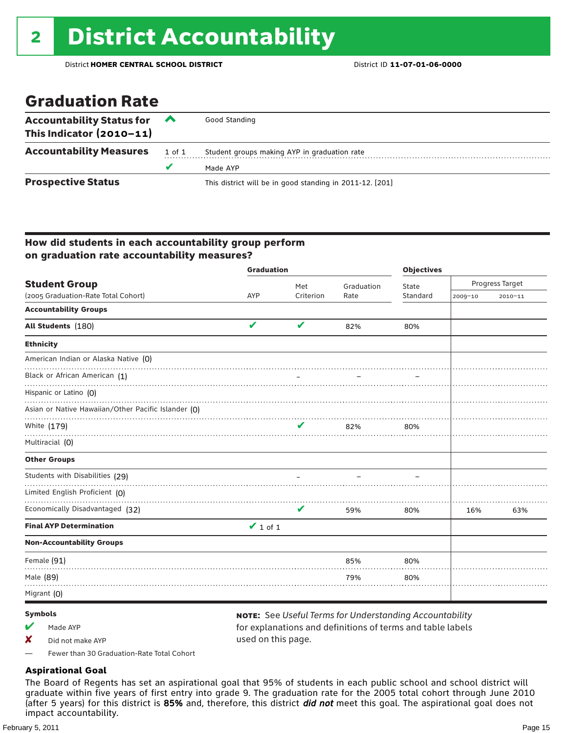### Graduation Rate

| <b>Accountability Status for</b><br>This Indicator $(2010-11)$ | $\sim$ | Good Standing                                            |  |  |  |  |
|----------------------------------------------------------------|--------|----------------------------------------------------------|--|--|--|--|
| <b>Accountability Measures</b>                                 | 1 of 1 | Student groups making AYP in graduation rate             |  |  |  |  |
|                                                                |        | Made AYP                                                 |  |  |  |  |
| <b>Prospective Status</b>                                      |        | This district will be in good standing in 2011-12. [201] |  |  |  |  |

#### How did students in each accountability group perform on graduation rate accountability measures?

|     |           | <b>Objectives</b>                  |            |                 |             |
|-----|-----------|------------------------------------|------------|-----------------|-------------|
|     | Met       |                                    |            | Progress Target |             |
| AYP | Criterion | Rate                               | Standard   | 2009-10         | $2010 - 11$ |
|     |           |                                    |            |                 |             |
| V   | V         | 82%                                | 80%        |                 |             |
|     |           |                                    |            |                 |             |
|     |           |                                    |            |                 |             |
|     |           |                                    |            |                 |             |
|     |           |                                    |            |                 |             |
|     |           |                                    |            |                 |             |
|     | V         | 82%                                | 80%        |                 |             |
|     |           |                                    |            |                 |             |
|     |           |                                    |            |                 |             |
|     |           |                                    |            |                 |             |
|     |           |                                    |            |                 |             |
|     | V         | 59%                                | 80%        | 16%             | 63%         |
|     |           |                                    |            |                 |             |
|     |           |                                    |            |                 |             |
|     |           | 85%                                | 80%        |                 |             |
|     |           | 79%                                | 80%        |                 |             |
|     |           |                                    |            |                 |             |
|     |           | <b>Graduation</b><br>$\vee$ 1 of 1 | Graduation | State           |             |

#### Symbols

- $M$  Made AYP
- X Did not make AYP

note: See *Useful Terms for Understanding Accountability*  for explanations and definitions of terms and table labels used on this page.

— Fewer than 30 Graduation-Rate Total Cohort

#### **Aspirational Goal**

The Board of Regents has set an aspirational goal that 95% of students in each public school and school district will graduate within five years of first entry into grade 9. The graduation rate for the 2005 total cohort through June 2010 (after 5 years) for this district is 85% and, therefore, this district *did not* meet this goal. The aspirational goal does not impact accountability.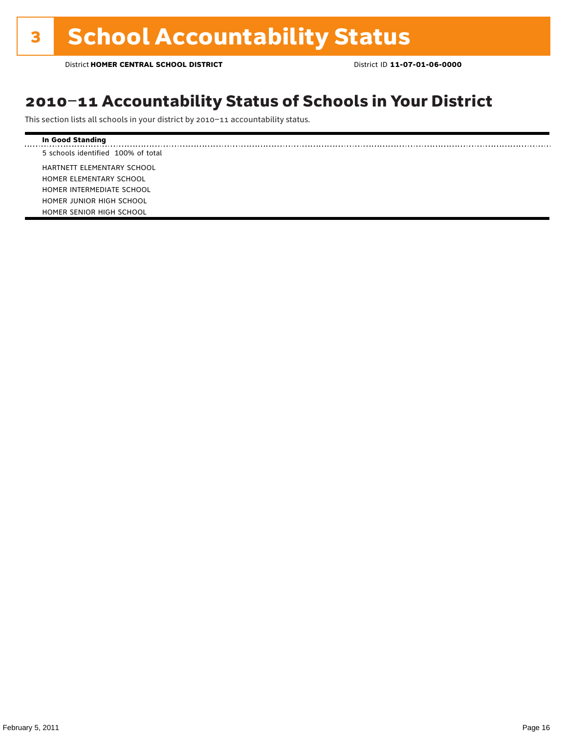### 2010–11 Accountability Status of Schools in Your District

This section lists all schools in your district by 2010–11 accountability status.

| In Good Standing                   |
|------------------------------------|
| 5 schools identified 100% of total |
| HARTNETT ELEMENTARY SCHOOL         |
| HOMER ELEMENTARY SCHOOL            |
| HOMER INTERMEDIATE SCHOOL          |
| HOMER JUNIOR HIGH SCHOOL           |
| HOMER SENIOR HIGH SCHOOL           |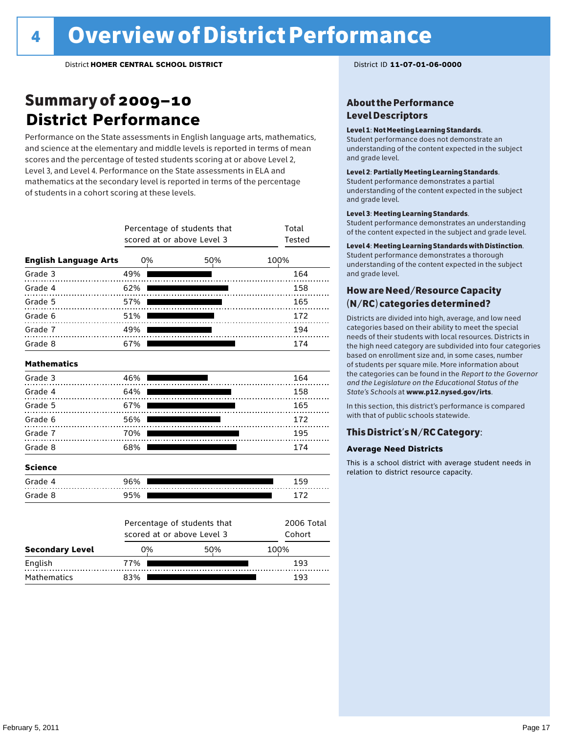### Summary of 2009–10 **District Performance**

Performance on the State assessments in English language arts, mathematics, and science at the elementary and middle levels is reported in terms of mean scores and the percentage of tested students scoring at or above Level 2, Level 3, and Level 4. Performance on the State assessments in ELA and mathematics at the secondary level is reported in terms of the percentage of students in a cohort scoring at these levels.

|                              |     | Percentage of students that<br>scored at or above Level 3 | Total<br>Tested      |
|------------------------------|-----|-----------------------------------------------------------|----------------------|
| <b>English Language Arts</b> | 0%  | 50%                                                       | 100%                 |
| Grade 3                      | 49% |                                                           | 164                  |
| Grade 4<br>.                 | 62% |                                                           | 158                  |
| Grade 5                      | 57% | <del>. .</del>                                            | 165                  |
| Grade 6                      | 51% |                                                           | 172                  |
| Grade 7<br>.                 | 49% |                                                           | 194                  |
| Grade 8                      | 67% |                                                           | 174                  |
| <b>Mathematics</b>           |     |                                                           |                      |
| Grade 3                      | 46% |                                                           | 164                  |
| Grade 4                      | 64% |                                                           | 158                  |
| Grade 5                      | 67% |                                                           | 165                  |
| Grade 6                      | 56% |                                                           | 172                  |
| Grade 7                      | 70% |                                                           | 195                  |
| Grade 8                      | 68% |                                                           | 174                  |
| <b>Science</b>               |     |                                                           |                      |
| Grade 4                      | 96% |                                                           | 159                  |
| Grade 8                      | 95% |                                                           | 172                  |
|                              |     | Percentage of students that<br>scored at or above Level 3 | 2006 Total<br>Cohort |
|                              | 0%  | 50%                                                       | 100%                 |
| <b>Secondary Level</b>       |     |                                                           |                      |

English 77% 193 Mathematics 83% **193** 

#### About the Performance Level Descriptors

#### Level 1: Not Meeting Learning Standards.

Student performance does not demonstrate an understanding of the content expected in the subject and grade level.

#### Level 2: Partially Meeting Learning Standards.

Student performance demonstrates a partial understanding of the content expected in the subject and grade level.

#### Level 3: Meeting Learning Standards.

Student performance demonstrates an understanding of the content expected in the subject and grade level.

#### Level 4: Meeting Learning Standards with Distinction.

Student performance demonstrates a thorough understanding of the content expected in the subject and grade level.

#### How are Need/Resource Capacity (N/RC) categories determined?

Districts are divided into high, average, and low need categories based on their ability to meet the special needs of their students with local resources. Districts in the high need category are subdivided into four categories based on enrollment size and, in some cases, number of students per square mile. More information about the categories can be found in the *Report to the Governor and the Legislature on the Educational Status of the State's Schools* at www.p12.nysed.gov/irts.

In this section, this district's performance is compared with that of public schools statewide.

#### This District's N/RC Category:

#### **Average Need Districts**

This is a school district with average student needs in relation to district resource capacity.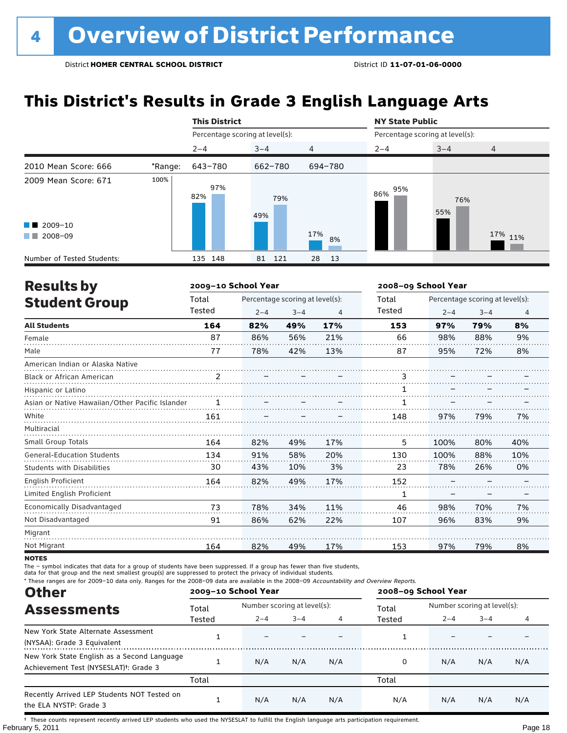### **This District's Results in Grade 3 English Language Arts**

|                                                |         | <b>This District</b>            |            |                | <b>NY State Public</b>          |            |                |  |
|------------------------------------------------|---------|---------------------------------|------------|----------------|---------------------------------|------------|----------------|--|
|                                                |         | Percentage scoring at level(s): |            |                | Percentage scoring at level(s): |            |                |  |
|                                                |         | $2 - 4$                         | $3 - 4$    | $\overline{4}$ | $2 - 4$                         | $3 - 4$    | $\overline{4}$ |  |
| 2010 Mean Score: 666                           | *Range: | 643-780                         | 662-780    | 694-780        |                                 |            |                |  |
| 2009 Mean Score: 671<br>$\blacksquare$ 2009-10 | 100%    | 97%<br>82%                      | 79%<br>49% |                | 95%<br>86%                      | 76%<br>55% |                |  |
| 2008-09                                        |         |                                 |            | 17%<br>8%      |                                 |            | 17% 11%        |  |
| Number of Tested Students:                     |         | 135 148                         | 81<br>121  | 28<br>13       |                                 |            |                |  |

|                                                                                                                                                                                                                                                                                                                                                                                                                        |                | 2009-10 School Year |                                 |     | 2008-09 School Year |         |                                 |     |
|------------------------------------------------------------------------------------------------------------------------------------------------------------------------------------------------------------------------------------------------------------------------------------------------------------------------------------------------------------------------------------------------------------------------|----------------|---------------------|---------------------------------|-----|---------------------|---------|---------------------------------|-----|
|                                                                                                                                                                                                                                                                                                                                                                                                                        | Total          |                     | Percentage scoring at level(s): |     | Total               |         | Percentage scoring at level(s): |     |
| <b>Results by</b><br><b>Student Group</b><br><b>All Students</b><br>Female<br>Male<br>American Indian or Alaska Native<br><b>Black or African American</b><br>Hispanic or Latino<br>White<br>Multiracial<br><b>Small Group Totals</b><br><b>General-Education Students</b><br><b>Students with Disabilities</b><br>English Proficient<br>Limited English Proficient<br>Economically Disadvantaged<br>Not Disadvantaged | Tested         | $2 - 4$             | $3 - 4$                         | 4   | <b>Tested</b>       | $2 - 4$ | $3 - 4$                         | 4   |
|                                                                                                                                                                                                                                                                                                                                                                                                                        | 164            | 82%                 | 49%                             | 17% | 153                 | 97%     | 79%                             | 8%  |
|                                                                                                                                                                                                                                                                                                                                                                                                                        | 87             | 86%                 | 56%                             | 21% | 66                  | 98%     | 88%                             | 9%  |
|                                                                                                                                                                                                                                                                                                                                                                                                                        | 77             | 78%                 | 42%                             | 13% | 87                  | 95%     | 72%                             | 8%  |
|                                                                                                                                                                                                                                                                                                                                                                                                                        |                |                     |                                 |     |                     |         |                                 |     |
|                                                                                                                                                                                                                                                                                                                                                                                                                        | $\overline{2}$ |                     |                                 |     | 3                   |         |                                 |     |
|                                                                                                                                                                                                                                                                                                                                                                                                                        |                |                     |                                 |     |                     |         |                                 |     |
| Asian or Native Hawaiian/Other Pacific Islander                                                                                                                                                                                                                                                                                                                                                                        |                |                     |                                 |     |                     |         |                                 |     |
|                                                                                                                                                                                                                                                                                                                                                                                                                        | 161            |                     |                                 |     | 148                 | 97%     | 79%                             | 7%  |
|                                                                                                                                                                                                                                                                                                                                                                                                                        |                |                     |                                 |     |                     |         |                                 |     |
|                                                                                                                                                                                                                                                                                                                                                                                                                        | 164            | 82%                 | 49%                             | 17% | 5                   | 100%    | 80%                             | 40% |
|                                                                                                                                                                                                                                                                                                                                                                                                                        | 134            | 91%                 | 58%                             | 20% | 130                 | 100%    | 88%                             | 10% |
|                                                                                                                                                                                                                                                                                                                                                                                                                        | 30             | 43%                 | 10%                             | 3%  | 23                  | 78%     | 26%                             | 0%  |
|                                                                                                                                                                                                                                                                                                                                                                                                                        | 164            | 82%                 | 49%                             | 17% | 152                 |         |                                 |     |
|                                                                                                                                                                                                                                                                                                                                                                                                                        |                |                     |                                 |     | 1                   |         |                                 |     |
|                                                                                                                                                                                                                                                                                                                                                                                                                        | 73             | 78%                 | 34%                             | 11% | 46                  | 98%     | 70%                             | 7%  |
|                                                                                                                                                                                                                                                                                                                                                                                                                        | 91             | 86%                 | 62%                             | 22% | 107                 | 96%     | 83%                             | 9%  |
| Migrant                                                                                                                                                                                                                                                                                                                                                                                                                |                |                     |                                 |     |                     |         |                                 |     |
| Not Migrant                                                                                                                                                                                                                                                                                                                                                                                                            | 164            | 82%                 | 49%                             | 17% | 153                 | 97%     | 79%                             | 8%  |

**NOTES** 

The – symbol indicates that data for a group of students have been suppressed. If a group has fewer than five students,

data for that group and the next smallest group(s) are suppressed to protect the privacy of individual students.

\* These ranges are for 2009–10 data only. Ranges for the 2008–09 data are available in the 2008–09 Accountability and Overview Reports.

| <b>Other</b>                                                                                      |        | 2009-10 School Year |                             |     | 2008-09 School Year |                             |         |     |
|---------------------------------------------------------------------------------------------------|--------|---------------------|-----------------------------|-----|---------------------|-----------------------------|---------|-----|
| <b>Assessments</b>                                                                                | Total  |                     | Number scoring at level(s): |     |                     | Number scoring at level(s): |         |     |
|                                                                                                   | Tested | $2 - 4$             | $3 - 4$                     | 4   | Tested              | $2 - 4$                     | $3 - 4$ | 4   |
| New York State Alternate Assessment<br>(NYSAA): Grade 3 Equivalent                                |        |                     |                             |     |                     |                             |         |     |
| New York State English as a Second Language<br>Achievement Test (NYSESLAT) <sup>+</sup> : Grade 3 |        | N/A                 | N/A                         | N/A | 0                   | N/A                         | N/A     | N/A |
|                                                                                                   | Total  |                     |                             |     | Total               |                             |         |     |
| Recently Arrived LEP Students NOT Tested on<br>the ELA NYSTP: Grade 3                             |        | N/A                 | N/A                         | N/A | N/A                 | N/A                         | N/A     | N/A |

February 5, 2011 **Page 18** † These counts represent recently arrived LEP students who used the NYSESLAT to fulfill the English language arts participation requirement.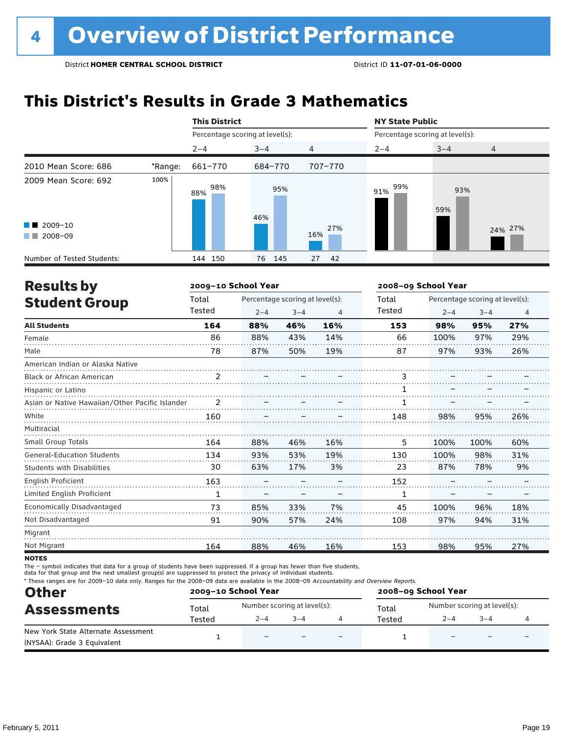### **This District's Results in Grade 3 Mathematics**

|                                                                             |         | <b>This District</b>            |            |            | <b>NY State Public</b>          |            |         |  |
|-----------------------------------------------------------------------------|---------|---------------------------------|------------|------------|---------------------------------|------------|---------|--|
|                                                                             |         | Percentage scoring at level(s): |            |            | Percentage scoring at level(s): |            |         |  |
|                                                                             |         | $2 - 4$                         | $3 - 4$    | 4          | $2 - 4$                         | $3 - 4$    | 4       |  |
| 2010 Mean Score: 686                                                        | *Range: | 661-770                         | 684-770    | 707-770    |                                 |            |         |  |
| 2009 Mean Score: 692<br>$\blacksquare$ 2009-10<br>2008-09<br><b>COLLEGE</b> | 100%    | 98%<br>88%                      | 95%<br>46% | 27%<br>16% | 99%<br>91%                      | 93%<br>59% | 24% 27% |  |
| Number of Tested Students:                                                  |         | 144 150                         | 145<br>76  | 42<br>27   |                                 |            |         |  |

| <b>Results by</b>                               |                | 2009-10 School Year |                                 |                | 2008-09 School Year |         |                                 |                |
|-------------------------------------------------|----------------|---------------------|---------------------------------|----------------|---------------------|---------|---------------------------------|----------------|
| <b>Student Group</b>                            | Total          |                     | Percentage scoring at level(s): |                | Total               |         | Percentage scoring at level(s): |                |
|                                                 | Tested         | $2 - 4$             | $3 - 4$                         | $\overline{4}$ | Tested              | $2 - 4$ | $3 - 4$                         | $\overline{4}$ |
| <b>All Students</b>                             | 164            | 88%                 | 46%                             | 16%            | 153                 | 98%     | 95%                             | 27%            |
| Female                                          | 86             | 88%                 | 43%                             | 14%            | 66                  | 100%    | 97%                             | 29%            |
| Male                                            | 78             | 87%                 | 50%                             | 19%            | 87                  | 97%     | 93%                             | 26%            |
| American Indian or Alaska Native                |                |                     |                                 |                |                     |         |                                 |                |
| <b>Black or African American</b>                | $\overline{2}$ |                     |                                 |                | 3                   |         |                                 |                |
| Hispanic or Latino                              |                |                     |                                 |                |                     |         |                                 |                |
| Asian or Native Hawaiian/Other Pacific Islander |                |                     |                                 |                |                     |         |                                 |                |
| White                                           | 160            |                     |                                 |                | 148                 | 98%     | 95%                             | 26%            |
| Multiracial                                     |                |                     |                                 |                |                     |         |                                 |                |
| <b>Small Group Totals</b>                       | 164            | 88%                 | 46%                             | 16%            | 5                   | 100%    | 100%                            | 60%            |
| <b>General-Education Students</b>               | 134            | 93%                 | 53%                             | 19%            | 130                 | 100%    | 98%                             | 31%            |
| <b>Students with Disabilities</b>               | 30             | 63%                 | 17%                             | 3%             | 23                  | 87%     | 78%                             | 9%             |
| <b>English Proficient</b>                       | 163            |                     |                                 |                | 152                 |         |                                 |                |
| Limited English Proficient                      | $\mathbf{1}$   |                     |                                 |                | 1                   |         |                                 |                |
| Economically Disadvantaged                      | 73             | 85%                 | 33%                             | 7%             | 45                  | 100%    | 96%                             | 18%            |
| Not Disadvantaged                               | 91             | 90%                 | 57%                             | 24%            | 108                 | 97%     | 94%                             | 31%            |
| Migrant                                         |                |                     |                                 |                |                     |         |                                 |                |
| Not Migrant                                     | 164            | 88%                 | 46%                             | 16%            | 153                 | 98%     | 95%                             | 27%            |

**NOTES** 

The – symbol indicates that data for a group of students have been suppressed. If a group has fewer than five students,

data for that group and the next smallest group(s) are suppressed to protect the privacy of individual students.

\* These ranges are for 2009–10 data only. Ranges for the 2008–09 data are available in the 2008–09 Accountability and Overview Reports.

| <b>Other</b>                        |        | 2009-10 School Year         |         |                          | 2008-09 School Year |                             |         |  |  |
|-------------------------------------|--------|-----------------------------|---------|--------------------------|---------------------|-----------------------------|---------|--|--|
| <b>Assessments</b>                  | Total  | Number scoring at level(s): |         |                          | Total               | Number scoring at level(s): |         |  |  |
|                                     | Tested | $2 - 4$                     | $3 - 4$ |                          | Tested              | $2 - 4$                     | $3 - 4$ |  |  |
| New York State Alternate Assessment |        | $\overline{\phantom{0}}$    |         | $\overline{\phantom{0}}$ |                     |                             |         |  |  |
| (NYSAA): Grade 3 Equivalent         |        |                             |         |                          |                     |                             |         |  |  |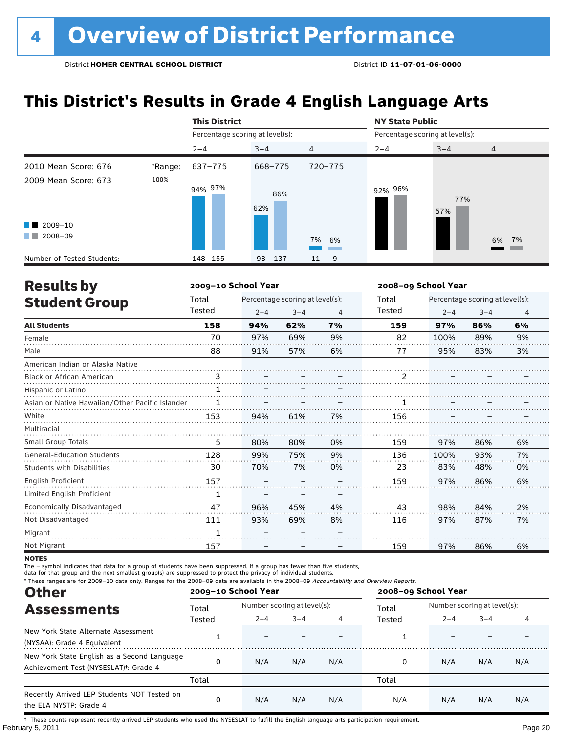### **This District's Results in Grade 4 English Language Arts**

|                                                                                                                                                                                                                                                 |         | <b>This District</b>            |            |                | <b>NY State Public</b>          |            |                |  |  |
|-------------------------------------------------------------------------------------------------------------------------------------------------------------------------------------------------------------------------------------------------|---------|---------------------------------|------------|----------------|---------------------------------|------------|----------------|--|--|
|                                                                                                                                                                                                                                                 |         | Percentage scoring at level(s): |            |                | Percentage scoring at level(s): |            |                |  |  |
|                                                                                                                                                                                                                                                 |         | $2 - 4$                         | $3 - 4$    | $\overline{4}$ | $2 - 4$                         | $3 - 4$    | $\overline{4}$ |  |  |
| 2010 Mean Score: 676                                                                                                                                                                                                                            | *Range: | 637-775                         | 668-775    | 720-775        |                                 |            |                |  |  |
| 2009 Mean Score: 673                                                                                                                                                                                                                            | 100%    | 94% 97%                         | 86%<br>62% |                | 92% 96%                         | 77%<br>57% |                |  |  |
| $\blacksquare$ 2009-10                                                                                                                                                                                                                          |         |                                 |            |                |                                 |            |                |  |  |
| 2008-09<br><b>The Contract of the Contract of the Contract of the Contract of the Contract of the Contract of the Contract of the Contract of the Contract of the Contract of the Contract of the Contract of The Contract of The Contract </b> |         |                                 |            | 7% 6%          |                                 |            | 6% 7%          |  |  |
| Number of Tested Students:                                                                                                                                                                                                                      |         | 148 155                         | 98<br>137  | 9<br>11        |                                 |            |                |  |  |

| <b>Results by</b>                               |              | 2009-10 School Year |                                 |    | 2008-09 School Year |                                 |         |                |  |
|-------------------------------------------------|--------------|---------------------|---------------------------------|----|---------------------|---------------------------------|---------|----------------|--|
| <b>Student Group</b>                            | Total        |                     | Percentage scoring at level(s): |    | Total               | Percentage scoring at level(s): |         |                |  |
|                                                 | Tested       | $2 - 4$             | $3 - 4$                         | 4  | <b>Tested</b>       | $2 - 4$                         | $3 - 4$ | $\overline{4}$ |  |
| <b>All Students</b>                             | 158          | 94%                 | 62%                             | 7% | 159                 | 97%                             | 86%     | 6%             |  |
| Female                                          | 70           | 97%                 | 69%                             | 9% | 82                  | 100%                            | 89%     | 9%             |  |
| Male                                            | 88           | 91%                 | 57%                             | 6% | 77                  | 95%                             | 83%     | 3%             |  |
| American Indian or Alaska Native                |              |                     |                                 |    |                     |                                 |         |                |  |
| <b>Black or African American</b>                | 3            |                     |                                 |    | $\mathfrak{p}$      |                                 |         |                |  |
| Hispanic or Latino                              | $\mathbf{1}$ |                     |                                 |    |                     |                                 |         |                |  |
| Asian or Native Hawaiian/Other Pacific Islander |              |                     |                                 |    |                     |                                 |         |                |  |
| White                                           | 153          | 94%                 | 61%                             | 7% | 156                 |                                 |         |                |  |
| Multiracial                                     |              |                     |                                 |    |                     |                                 |         |                |  |
| <b>Small Group Totals</b>                       | 5            | 80%                 | 80%                             | 0% | 159                 | 97%                             | 86%     | 6%             |  |
| <b>General-Education Students</b>               | 128          | 99%                 | 75%                             | 9% | 136                 | 100%                            | 93%     | 7%             |  |
| <b>Students with Disabilities</b>               | 30           | 70%                 | 7%                              | 0% | 23                  | 83%                             | 48%     | 0%             |  |
| English Proficient                              | 157          |                     |                                 |    | 159                 | 97%                             | 86%     | 6%             |  |
| Limited English Proficient                      | 1            |                     |                                 |    |                     |                                 |         |                |  |
| Economically Disadvantaged                      | 47           | 96%                 | 45%                             | 4% | 43                  | 98%                             | 84%     | 2%             |  |
| Not Disadvantaged                               | 111          | 93%                 | 69%                             | 8% | 116                 | 97%                             | 87%     | 7%             |  |
| Migrant                                         | 1            |                     |                                 |    |                     |                                 |         |                |  |
| Not Migrant                                     | 157          |                     |                                 |    | 159                 | 97%                             | 86%     | 6%             |  |

**NOTES** 

The – symbol indicates that data for a group of students have been suppressed. If a group has fewer than five students,

data for that group and the next smallest group(s) are suppressed to protect the privacy of individual students.

\* These ranges are for 2009–10 data only. Ranges for the 2008–09 data are available in the 2008–09 Accountability and Overview Reports.

| <b>Other</b>                                                                                                                                   |        | 2009-10 School Year |                             |     | 2008-09 School Year |                             |         |     |
|------------------------------------------------------------------------------------------------------------------------------------------------|--------|---------------------|-----------------------------|-----|---------------------|-----------------------------|---------|-----|
|                                                                                                                                                | Total  |                     | Number scoring at level(s): |     |                     | Number scoring at level(s): |         |     |
| <b>Assessments</b><br>New York State Alternate Assessment<br>(NYSAA): Grade 4 Equivalent<br>Achievement Test (NYSESLAT) <sup>†</sup> : Grade 4 | Tested | $2 - 4$             | $3 - 4$                     |     | Tested              | $2 - 4$                     | $3 - 4$ |     |
|                                                                                                                                                |        |                     |                             |     |                     |                             |         |     |
| New York State English as a Second Language                                                                                                    |        | N/A                 | N/A                         | N/A | 0                   | N/A                         | N/A     | N/A |
|                                                                                                                                                | Total  |                     |                             |     | Total               |                             |         |     |
| Recently Arrived LEP Students NOT Tested on<br>the ELA NYSTP: Grade 4                                                                          |        | N/A                 | N/A                         | N/A | N/A                 | N/A                         | N/A     | N/A |

February 5, 2011 Page 20 † These counts represent recently arrived LEP students who used the NYSESLAT to fulfill the English language arts participation requirement.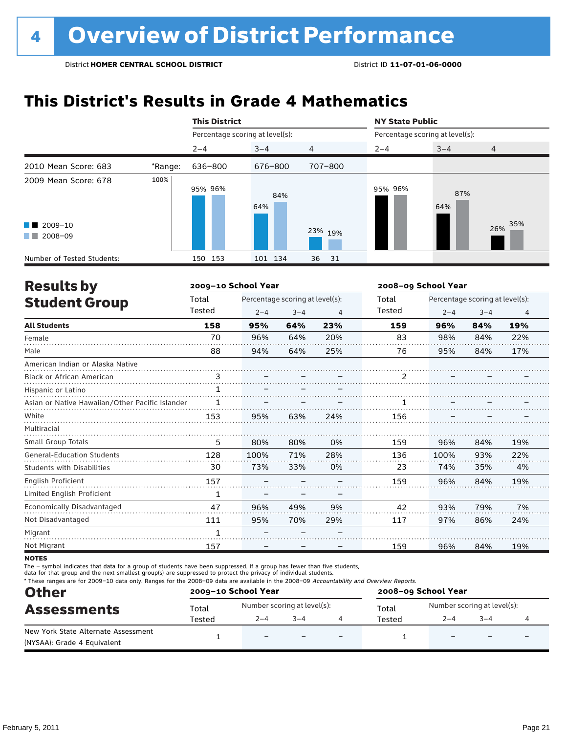### **This District's Results in Grade 4 Mathematics**

|                                                     |         | <b>This District</b>            |            |          | <b>NY State Public</b>          |            |            |  |
|-----------------------------------------------------|---------|---------------------------------|------------|----------|---------------------------------|------------|------------|--|
|                                                     |         | Percentage scoring at level(s): |            |          | Percentage scoring at level(s): |            |            |  |
|                                                     |         | $2 - 4$                         | $3 - 4$    | 4        | $2 - 4$                         | $3 - 4$    | 4          |  |
| 2010 Mean Score: 683                                | *Range: | 636-800                         | 676-800    | 707-800  |                                 |            |            |  |
| 2009 Mean Score: 678                                | 100%    | 95% 96%                         | 84%<br>64% |          | 95% 96%                         | 87%<br>64% |            |  |
| $\blacksquare$ 2009-10<br>2008-09<br><b>COLLEGE</b> |         |                                 |            | 23% 19%  |                                 |            | 35%<br>26% |  |
| Number of Tested Students:                          |         | 150 153                         | 101 134    | 31<br>36 |                                 |            |            |  |

|                                                 |        | 2009-10 School Year |                                 |     | 2008-09 School Year |         |                                 |                |
|-------------------------------------------------|--------|---------------------|---------------------------------|-----|---------------------|---------|---------------------------------|----------------|
|                                                 | Total  |                     | Percentage scoring at level(s): |     | Total               |         | Percentage scoring at level(s): |                |
| <b>Results by</b><br><b>Student Group</b>       | Tested | $2 - 4$             | $3 - 4$                         | 4   | Tested              | $2 - 4$ | $3 - 4$                         | $\overline{4}$ |
| <b>All Students</b>                             | 158    | 95%                 | 64%                             | 23% | 159                 | 96%     | 84%                             | 19%            |
| Female                                          | 70     | 96%                 | 64%                             | 20% | 83                  | 98%     | 84%                             | 22%            |
| Male                                            | 88     | 94%                 | 64%                             | 25% | 76                  | 95%     | 84%                             | 17%            |
| American Indian or Alaska Native                |        |                     |                                 |     |                     |         |                                 |                |
| <b>Black or African American</b>                | 3      |                     |                                 |     | $\mathfrak{p}$      |         |                                 |                |
| Hispanic or Latino                              | 1      |                     |                                 |     |                     |         |                                 |                |
| Asian or Native Hawaiian/Other Pacific Islander |        |                     |                                 |     |                     |         |                                 |                |
| White                                           | 153    | 95%                 | 63%                             | 24% | 156                 |         |                                 |                |
| Multiracial                                     |        |                     |                                 |     |                     |         |                                 |                |
| <b>Small Group Totals</b>                       | 5      | 80%                 | 80%                             | 0%  | 159                 | 96%     | 84%                             | 19%            |
| <b>General-Education Students</b>               | 128    | 100%                | 71%                             | 28% | 136                 | 100%    | 93%                             | 22%            |
| <b>Students with Disabilities</b>               | 30     | 73%                 | 33%                             | 0%  | 23                  | 74%     | 35%                             | 4%             |
| English Proficient                              | 157    |                     |                                 |     | 159                 | 96%     | 84%                             | 19%            |
| Limited English Proficient                      | 1      |                     |                                 |     |                     |         |                                 |                |
| Economically Disadvantaged                      | 47     | 96%                 | 49%                             | 9%  | 42                  | 93%     | 79%                             | 7%             |
| Not Disadvantaged                               | 111    | 95%                 | 70%                             | 29% | 117                 | 97%     | 86%                             | 24%            |
| Migrant                                         | 1      |                     |                                 |     |                     |         |                                 |                |
| Not Migrant                                     | 157    |                     |                                 |     | 159                 | 96%     | 84%                             | 19%            |

**NOTES** 

The – symbol indicates that data for a group of students have been suppressed. If a group has fewer than five students,

data for that group and the next smallest group(s) are suppressed to protect the privacy of individual students.

\* These ranges are for 2009–10 data only. Ranges for the 2008–09 data are available in the 2008–09 Accountability and Overview Reports.

| <b>Other</b>                        | 2009-10 School Year |                             |         | 2008-09 School Year |                             |         |                          |  |
|-------------------------------------|---------------------|-----------------------------|---------|---------------------|-----------------------------|---------|--------------------------|--|
| <b>Assessments</b>                  | Total               | Number scoring at level(s): |         | Total               | Number scoring at level(s): |         |                          |  |
|                                     | Tested              | $2 - 4$                     | $3 - 4$ | Tested              | $2 - 4$                     | $3 - 4$ |                          |  |
| New York State Alternate Assessment |                     | $\overline{\phantom{0}}$    |         |                     |                             |         | $\overline{\phantom{0}}$ |  |
| (NYSAA): Grade 4 Equivalent         |                     |                             |         |                     |                             |         |                          |  |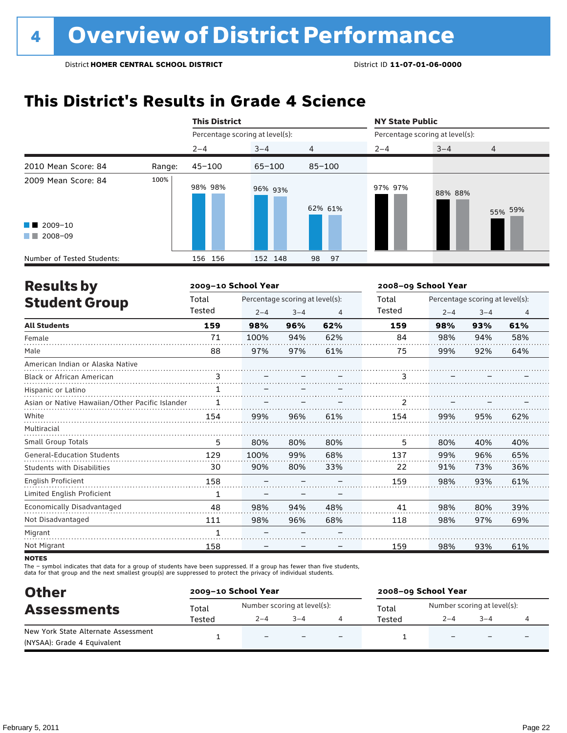### **This District's Results in Grade 4 Science**

|                                                                            |        | <b>This District</b>            |            |            |                                 | <b>NY State Public</b> |         |  |  |
|----------------------------------------------------------------------------|--------|---------------------------------|------------|------------|---------------------------------|------------------------|---------|--|--|
|                                                                            |        | Percentage scoring at level(s): |            |            | Percentage scoring at level(s): |                        |         |  |  |
|                                                                            |        | $2 - 4$                         | $3 - 4$    | 4          | $2 - 4$                         | $3 - 4$                | 4       |  |  |
| 2010 Mean Score: 84                                                        | Range: | $45 - 100$                      | $65 - 100$ | $85 - 100$ |                                 |                        |         |  |  |
| 2009 Mean Score: 84<br>$\blacksquare$ 2009-10<br>2008-09<br><b>COLLEGE</b> | 100%   | 98% 98%                         | 96% 93%    | 62% 61%    | 97% 97%                         | 88% 88%                | 55% 59% |  |  |
| Number of Tested Students:                                                 |        | 156 156                         | 152 148    | 98<br>97   |                                 |                        |         |  |  |

| <b>Results by</b>                               |              | 2009-10 School Year |                                 |                | 2008-09 School Year |         |                                 |     |
|-------------------------------------------------|--------------|---------------------|---------------------------------|----------------|---------------------|---------|---------------------------------|-----|
| <b>Student Group</b>                            | Total        |                     | Percentage scoring at level(s): |                | Total               |         | Percentage scoring at level(s): |     |
|                                                 | Tested       | $2 - 4$             | $3 - 4$                         | $\overline{4}$ | Tested              | $2 - 4$ | $3 - 4$                         | 4   |
| <b>All Students</b>                             | 159          | 98%                 | 96%                             | 62%            | 159                 | 98%     | 93%                             | 61% |
| Female                                          | 71           | 100%                | 94%                             | 62%            | 84                  | 98%     | 94%                             | 58% |
| Male                                            | 88           | 97%                 | 97%                             | 61%            | 75                  | 99%     | 92%                             | 64% |
| American Indian or Alaska Native                |              |                     |                                 |                |                     |         |                                 |     |
| Black or African American                       | 3            |                     |                                 |                | 3                   |         |                                 |     |
| Hispanic or Latino                              | $\mathbf{1}$ |                     |                                 |                |                     |         |                                 |     |
| Asian or Native Hawaiian/Other Pacific Islander |              |                     |                                 |                |                     |         |                                 |     |
| White                                           | 154          | 99%                 | 96%                             | 61%            | 154                 | 99%     | 95%                             | 62% |
| Multiracial                                     |              |                     |                                 |                |                     |         |                                 |     |
| <b>Small Group Totals</b>                       | 5            | 80%                 | 80%                             | 80%            | 5                   | 80%     | 40%                             | 40% |
| <b>General-Education Students</b>               | 129          | 100%                | 99%                             | 68%            | 137                 | 99%     | 96%                             | 65% |
| <b>Students with Disabilities</b>               | 30           | 90%                 | 80%                             | 33%            | 22                  | 91%     | 73%                             | 36% |
| <b>English Proficient</b>                       | 158          |                     |                                 |                | 159                 | 98%     | 93%                             | 61% |
| Limited English Proficient                      | 1            |                     |                                 |                |                     |         |                                 |     |
| Economically Disadvantaged                      | 48           | 98%                 | 94%                             | 48%            | 41                  | 98%     | 80%                             | 39% |
| Not Disadvantaged                               | 111          | 98%                 | 96%                             | 68%            | 118                 | 98%     | 97%                             | 69% |
| Migrant                                         | 1            |                     |                                 |                |                     |         |                                 |     |
| Not Migrant                                     | 158          |                     |                                 |                | 159                 | 98%     | 93%                             | 61% |

**NOTES** 

The – symbol indicates that data for a group of students have been suppressed. If a group has fewer than five students,<br>data for that group and the next smallest group(s) are suppressed to protect the privacy of individual

| <b>Other</b>                        |        | 2009-10 School Year         |         |                          | 2008-09 School Year |                             |                          |                          |  |
|-------------------------------------|--------|-----------------------------|---------|--------------------------|---------------------|-----------------------------|--------------------------|--------------------------|--|
| <b>Assessments</b>                  | Total  | Number scoring at level(s): |         |                          | Total               | Number scoring at level(s): |                          |                          |  |
|                                     | Tested | $2 - 4$                     | $3 - 4$ |                          | Tested              | $2 - 4$                     | $3 - 4$                  |                          |  |
| New York State Alternate Assessment |        | -                           |         | $\overline{\phantom{0}}$ |                     | -                           | $\overline{\phantom{0}}$ | $\overline{\phantom{0}}$ |  |
| (NYSAA): Grade 4 Equivalent         |        |                             |         |                          |                     |                             |                          |                          |  |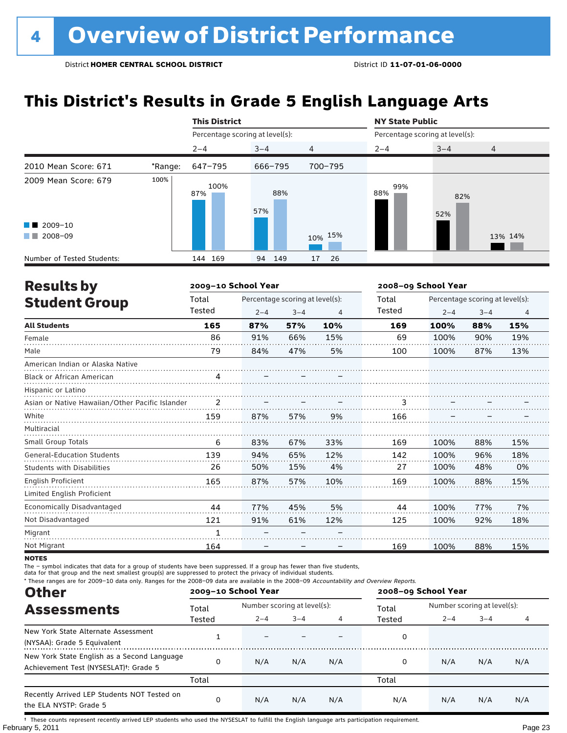### **This District's Results in Grade 5 English Language Arts**

|                                                                                                                                                                                                                                                 |         | <b>This District</b>            |            |                |            |                                 |                |  |  |
|-------------------------------------------------------------------------------------------------------------------------------------------------------------------------------------------------------------------------------------------------|---------|---------------------------------|------------|----------------|------------|---------------------------------|----------------|--|--|
|                                                                                                                                                                                                                                                 |         | Percentage scoring at level(s): |            |                |            | Percentage scoring at level(s): |                |  |  |
|                                                                                                                                                                                                                                                 |         | $2 - 4$                         | $3 - 4$    | $\overline{4}$ | $2 - 4$    | $3 - 4$                         | $\overline{4}$ |  |  |
| 2010 Mean Score: 671                                                                                                                                                                                                                            | *Range: | 647-795                         | 666-795    | 700-795        |            |                                 |                |  |  |
| 2009 Mean Score: 679                                                                                                                                                                                                                            | 100%    | 100%<br>87%                     | 88%<br>57% |                | 99%<br>88% | 82%<br>52%                      |                |  |  |
| $\blacksquare$ 2009-10                                                                                                                                                                                                                          |         |                                 |            |                |            |                                 |                |  |  |
| 2008-09<br><b>The Contract of the Contract of the Contract of the Contract of the Contract of the Contract of the Contract of the Contract of the Contract of the Contract of the Contract of the Contract of The Contract of The Contract </b> |         |                                 |            | 10% 15%        |            |                                 | 13% 14%        |  |  |
| Number of Tested Students:                                                                                                                                                                                                                      |         | 144 169                         | 94<br>149  | 17<br>26       |            |                                 |                |  |  |

| <b>Results by</b>                               |        | 2009-10 School Year |                                 |     | 2008-09 School Year |         |                                 |                |
|-------------------------------------------------|--------|---------------------|---------------------------------|-----|---------------------|---------|---------------------------------|----------------|
| <b>Student Group</b>                            | Total  |                     | Percentage scoring at level(s): |     | Total               |         | Percentage scoring at level(s): |                |
|                                                 | Tested | $2 - 4$             | $3 - 4$                         | 4   | Tested              | $2 - 4$ | $3 - 4$                         | $\overline{4}$ |
| <b>All Students</b>                             | 165    | 87%                 | 57%                             | 10% | 169                 | 100%    | 88%                             | 15%            |
| Female                                          | 86     | 91%                 | 66%                             | 15% | 69                  | 100%    | 90%                             | 19%            |
| Male                                            | 79     | 84%                 | 47%                             | 5%  | 100                 | 100%    | 87%                             | 13%            |
| American Indian or Alaska Native                |        |                     |                                 |     |                     |         |                                 |                |
| <b>Black or African American</b>                | 4      |                     |                                 |     |                     |         |                                 |                |
| Hispanic or Latino                              |        |                     |                                 |     |                     |         |                                 |                |
| Asian or Native Hawaiian/Other Pacific Islander |        |                     |                                 |     | 3                   |         |                                 |                |
| White                                           | 159    | 87%                 | 57%                             | 9%  | 166                 |         |                                 |                |
| Multiracial                                     |        |                     |                                 |     |                     |         |                                 |                |
| <b>Small Group Totals</b>                       | 6      | 83%                 | 67%                             | 33% | 169                 | 100%    | 88%                             | 15%            |
| <b>General-Education Students</b>               | 139    | 94%                 | 65%                             | 12% | 142                 | 100%    | 96%                             | 18%            |
| <b>Students with Disabilities</b>               | 26     | 50%                 | 15%                             | 4%  | 27                  | 100%    | 48%                             | 0%             |
| English Proficient                              | 165    | 87%                 | 57%                             | 10% | 169                 | 100%    | 88%                             | 15%            |
| Limited English Proficient                      |        |                     |                                 |     |                     |         |                                 |                |
| Economically Disadvantaged                      | 44     | 77%                 | 45%                             | 5%  | 44                  | 100%    | 77%                             | 7%             |
| Not Disadvantaged                               | 121    | 91%                 | 61%                             | 12% | 125                 | 100%    | 92%                             | 18%            |
| Migrant                                         | 1      |                     |                                 |     |                     |         |                                 |                |
| Not Migrant                                     | 164    |                     |                                 |     | 169                 | 100%    | 88%                             | 15%            |

**NOTES** 

The – symbol indicates that data for a group of students have been suppressed. If a group has fewer than five students,

data for that group and the next smallest group(s) are suppressed to protect the privacy of individual students.

\* These ranges are for 2009–10 data only. Ranges for the 2008–09 data are available in the 2008–09 Accountability and Overview Reports.

| <b>Other</b>                                                                                      |        | 2009-10 School Year         |         |     | 2008-09 School Year |                             |         |     |  |
|---------------------------------------------------------------------------------------------------|--------|-----------------------------|---------|-----|---------------------|-----------------------------|---------|-----|--|
| <b>Assessments</b>                                                                                | Total  | Number scoring at level(s): |         |     | Total               | Number scoring at level(s): |         |     |  |
|                                                                                                   | Tested | $2 - 4$                     | $3 - 4$ | 4   | Tested              | $2 - 4$                     | $3 - 4$ | 4   |  |
| New York State Alternate Assessment<br>(NYSAA): Grade 5 Equivalent                                |        |                             |         |     | 0                   |                             |         |     |  |
| New York State English as a Second Language<br>Achievement Test (NYSESLAT) <sup>†</sup> : Grade 5 | 0      | N/A                         | N/A     | N/A | 0                   | N/A                         | N/A     | N/A |  |
|                                                                                                   | Total  |                             |         |     | Total               |                             |         |     |  |
| Recently Arrived LEP Students NOT Tested on<br>the ELA NYSTP: Grade 5                             | 0      | N/A                         | N/A     | N/A | N/A                 | N/A                         | N/A     | N/A |  |

February 5, 2011 Page 23 † These counts represent recently arrived LEP students who used the NYSESLAT to fulfill the English language arts participation requirement.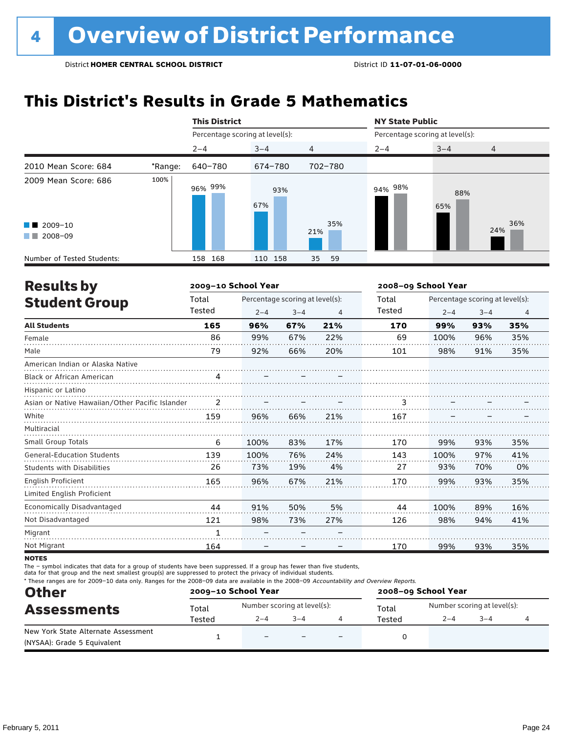### **This District's Results in Grade 5 Mathematics**

|                                                     |         | <b>This District</b>            |            |            | <b>NY State Public</b><br>Percentage scoring at level(s): |            |            |  |
|-----------------------------------------------------|---------|---------------------------------|------------|------------|-----------------------------------------------------------|------------|------------|--|
|                                                     |         | Percentage scoring at level(s): |            |            |                                                           |            |            |  |
|                                                     |         | $2 - 4$                         | $3 - 4$    | 4          | $2 - 4$                                                   | $3 - 4$    | 4          |  |
| 2010 Mean Score: 684                                | *Range: | 640-780                         | 674-780    | 702-780    |                                                           |            |            |  |
| 2009 Mean Score: 686                                | 100%    | 96% 99%                         | 93%<br>67% |            | 94% 98%                                                   | 88%<br>65% |            |  |
| $\blacksquare$ 2009-10<br>2008-09<br><b>COLLEGE</b> |         |                                 |            | 35%<br>21% |                                                           |            | 36%<br>24% |  |
| Number of Tested Students:                          |         | 168<br>158                      | 110 158    | 35<br>59   |                                                           |            |            |  |

| <b>Results by</b>                               |        | 2009-10 School Year |                                 |     | 2008-09 School Year |         |                                 |                |
|-------------------------------------------------|--------|---------------------|---------------------------------|-----|---------------------|---------|---------------------------------|----------------|
| <b>Student Group</b>                            | Total  |                     | Percentage scoring at level(s): |     | Total               |         | Percentage scoring at level(s): |                |
|                                                 | Tested | $2 - 4$             | $3 - 4$                         | 4   | Tested              | $2 - 4$ | $3 - 4$                         | $\overline{4}$ |
| <b>All Students</b>                             | 165    | 96%                 | 67%                             | 21% | 170                 | 99%     | 93%                             | 35%            |
| Female                                          | 86     | 99%                 | 67%                             | 22% | 69                  | 100%    | 96%                             | 35%            |
| Male                                            | 79     | 92%                 | 66%                             | 20% | 101                 | 98%     | 91%                             | 35%            |
| American Indian or Alaska Native                |        |                     |                                 |     |                     |         |                                 |                |
| <b>Black or African American</b>                | 4      |                     |                                 |     |                     |         |                                 |                |
| Hispanic or Latino                              |        |                     |                                 |     |                     |         |                                 |                |
| Asian or Native Hawaiian/Other Pacific Islander | 2      |                     |                                 |     | 3                   |         |                                 |                |
| White                                           | 159    | 96%                 | 66%                             | 21% | 167                 |         |                                 |                |
| Multiracial                                     |        |                     |                                 |     |                     |         |                                 |                |
| <b>Small Group Totals</b>                       | 6      | 100%                | 83%                             | 17% | 170                 | 99%     | 93%                             | 35%            |
| <b>General-Education Students</b>               | 139    | 100%                | 76%                             | 24% | 143                 | 100%    | 97%                             | 41%            |
| <b>Students with Disabilities</b>               | 26     | 73%                 | 19%                             | 4%  | 27                  | 93%     | 70%                             | 0%             |
| English Proficient                              | 165    | 96%                 | 67%                             | 21% | 170                 | 99%     | 93%                             | 35%            |
| Limited English Proficient                      |        |                     |                                 |     |                     |         |                                 |                |
| Economically Disadvantaged                      | 44     | 91%                 | 50%                             | 5%  | 44                  | 100%    | 89%                             | 16%            |
| Not Disadvantaged                               | 121    | 98%                 | 73%                             | 27% | 126                 | 98%     | 94%                             | 41%            |
| Migrant                                         | 1      |                     |                                 |     |                     |         |                                 |                |
| Not Migrant                                     | 164    |                     |                                 |     | 170                 | 99%     | 93%                             | 35%            |

**NOTES** 

The – symbol indicates that data for a group of students have been suppressed. If a group has fewer than five students,

data for that group and the next smallest group(s) are suppressed to protect the privacy of individual students.

\* These ranges are for 2009–10 data only. Ranges for the 2008–09 data are available in the 2008–09 Accountability and Overview Reports.

| <b>Other</b>                        | 2009-10 School Year |                             |         |                          | 2008-09 School Year |                             |         |  |  |
|-------------------------------------|---------------------|-----------------------------|---------|--------------------------|---------------------|-----------------------------|---------|--|--|
| <b>Assessments</b>                  | Total               | Number scoring at level(s): |         |                          | Total               | Number scoring at level(s): |         |  |  |
|                                     | Tested              | $2 - 4$                     | $3 - 4$ |                          | Tested              | $2 - 4$                     | $3 - 4$ |  |  |
| New York State Alternate Assessment |                     | $\overline{\phantom{0}}$    |         | $\overline{\phantom{0}}$ |                     |                             |         |  |  |
| (NYSAA): Grade 5 Equivalent         |                     |                             |         |                          |                     |                             |         |  |  |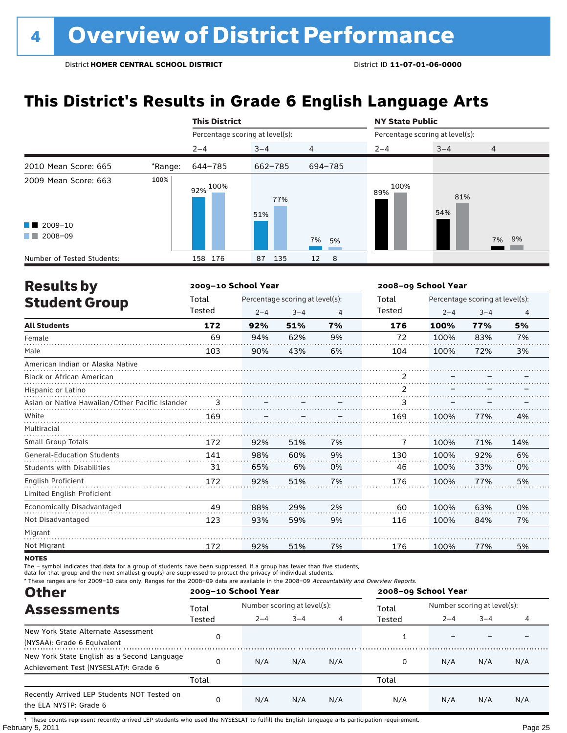### **This District's Results in Grade 6 English Language Arts**

|                                                                  |         | <b>This District</b>            |            |                  | <b>NY State Public</b>          |            |                |  |
|------------------------------------------------------------------|---------|---------------------------------|------------|------------------|---------------------------------|------------|----------------|--|
|                                                                  |         | Percentage scoring at level(s): |            |                  | Percentage scoring at level(s): |            |                |  |
|                                                                  |         | $2 - 4$                         | $3 - 4$    | $\overline{4}$   | $2 - 4$                         | $3 - 4$    | $\overline{4}$ |  |
| 2010 Mean Score: 665                                             | *Range: | 644-785                         | 662-785    | 694-785          |                                 |            |                |  |
| 2009 Mean Score: 663<br>$\blacksquare$ 2009-10<br>2008-09<br>. . | 100%    | 92% 100%                        | 77%<br>51% |                  | 100%<br>89%                     | 81%<br>54% | 7% 9%          |  |
|                                                                  |         |                                 |            | 7% 5%            |                                 |            |                |  |
| Number of Tested Students:                                       |         | 176<br>158                      | 135<br>87  | 12<br>$_{\rm 8}$ |                                 |            |                |  |

| <b>Results by</b>                               |        | 2009-10 School Year |                                 |    | 2008-09 School Year |         |                                 |     |
|-------------------------------------------------|--------|---------------------|---------------------------------|----|---------------------|---------|---------------------------------|-----|
| <b>Student Group</b>                            | Total  |                     | Percentage scoring at level(s): |    | Total               |         | Percentage scoring at level(s): |     |
|                                                 | Tested | $2 - 4$             | $3 - 4$                         | 4  | Tested              | $2 - 4$ | $3 - 4$                         | 4   |
| <b>All Students</b>                             | 172    | 92%                 | 51%                             | 7% | 176                 | 100%    | 77%                             | 5%  |
| Female                                          | 69     | 94%                 | 62%                             | 9% | 72                  | 100%    | 83%                             | 7%  |
| Male                                            | 103    | 90%                 | 43%                             | 6% | 104                 | 100%    | 72%                             | 3%  |
| American Indian or Alaska Native                |        |                     |                                 |    |                     |         |                                 |     |
| Black or African American                       |        |                     |                                 |    | $\mathcal{P}$       |         |                                 |     |
| Hispanic or Latino                              |        |                     |                                 |    | $\overline{2}$      |         |                                 |     |
| Asian or Native Hawaiian/Other Pacific Islander | 3      |                     |                                 |    | 3                   |         |                                 |     |
| White                                           | 169    |                     |                                 |    | 169                 | 100%    | 77%                             | 4%  |
| Multiracial                                     |        |                     |                                 |    |                     |         |                                 |     |
| <b>Small Group Totals</b>                       | 172    | 92%                 | 51%                             | 7% | 7                   | 100%    | 71%                             | 14% |
| <b>General-Education Students</b>               | 141    | 98%                 | 60%                             | 9% | 130                 | 100%    | 92%                             | 6%  |
| <b>Students with Disabilities</b>               | 31     | 65%                 | 6%                              | 0% | 46                  | 100%    | 33%                             | 0%  |
| English Proficient                              | 172    | 92%                 | 51%                             | 7% | 176                 | 100%    | 77%                             | 5%  |
| Limited English Proficient                      |        |                     |                                 |    |                     |         |                                 |     |
| <b>Economically Disadvantaged</b>               | 49     | 88%                 | 29%                             | 2% | 60                  | 100%    | 63%                             | 0%  |
| Not Disadvantaged                               | 123    | 93%                 | 59%                             | 9% | 116                 | 100%    | 84%                             | 7%  |
| Migrant                                         |        |                     |                                 |    |                     |         |                                 |     |
| Not Migrant                                     | 172    | 92%                 | 51%                             | 7% | 176                 | 100%    | 77%                             | 5%  |

**NOTES** 

The – symbol indicates that data for a group of students have been suppressed. If a group has fewer than five students,

data for that group and the next smallest group(s) are suppressed to protect the privacy of individual students.

\* These ranges are for 2009–10 data only. Ranges for the 2008–09 data are available in the 2008–09 Accountability and Overview Reports.

| <b>Other</b>                                                                                      |          | 2009-10 School Year         |         |     | 2008-09 School Year |                             |         |     |
|---------------------------------------------------------------------------------------------------|----------|-----------------------------|---------|-----|---------------------|-----------------------------|---------|-----|
| <b>Assessments</b>                                                                                | Total    | Number scoring at level(s): |         |     | Total               | Number scoring at level(s): |         |     |
|                                                                                                   | Tested   | $2 - 4$                     | $3 - 4$ | 4   | Tested              | $2 - 4$                     | $3 - 4$ | 4   |
| New York State Alternate Assessment<br>(NYSAA): Grade 6 Equivalent                                | 0        |                             |         |     |                     |                             |         |     |
| New York State English as a Second Language<br>Achievement Test (NYSESLAT) <sup>†</sup> : Grade 6 | $\Omega$ | N/A                         | N/A     | N/A | 0                   | N/A                         | N/A     | N/A |
|                                                                                                   | Total    |                             |         |     | Total               |                             |         |     |
| Recently Arrived LEP Students NOT Tested on<br>the ELA NYSTP: Grade 6                             | 0        | N/A                         | N/A     | N/A | N/A                 | N/A                         | N/A     | N/A |

February 5, 2011 Page 25 † These counts represent recently arrived LEP students who used the NYSESLAT to fulfill the English language arts participation requirement.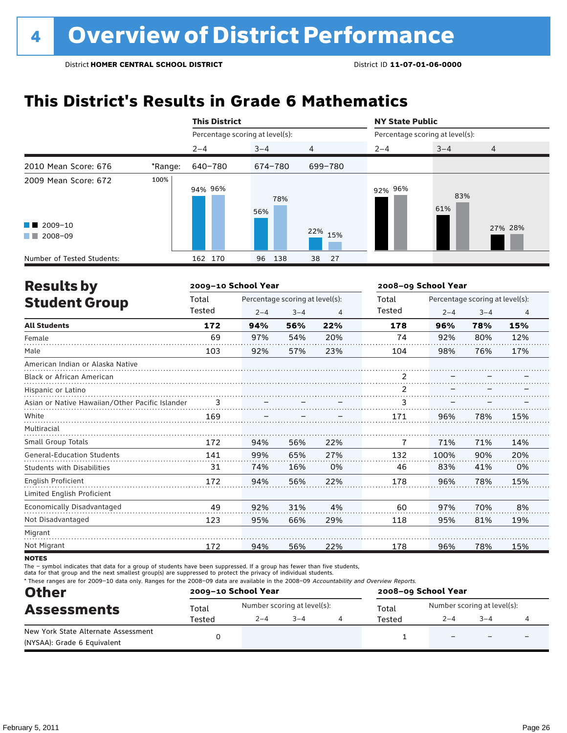### **This District's Results in Grade 6 Mathematics**

|                                                                                                                                                                                                                                                                           |         | <b>This District</b>            |            |            | <b>NY State Public</b>          |            |                |  |
|---------------------------------------------------------------------------------------------------------------------------------------------------------------------------------------------------------------------------------------------------------------------------|---------|---------------------------------|------------|------------|---------------------------------|------------|----------------|--|
|                                                                                                                                                                                                                                                                           |         | Percentage scoring at level(s): |            |            | Percentage scoring at level(s): |            |                |  |
|                                                                                                                                                                                                                                                                           |         | $2 - 4$                         | $3 - 4$    | 4          | $2 - 4$                         | $3 - 4$    | $\overline{4}$ |  |
| 2010 Mean Score: 676                                                                                                                                                                                                                                                      | *Range: | 640-780                         | 674-780    | 699-780    |                                 |            |                |  |
| 2009 Mean Score: 672                                                                                                                                                                                                                                                      | 100%    | 94% 96%                         | 78%<br>56% |            | 92% 96%                         | 83%<br>61% |                |  |
| $\blacksquare$ 2009-10<br>2008-09<br><b>The Contract of the Contract of the Contract of the Contract of the Contract of the Contract of the Contract of the Contract of the Contract of the Contract of the Contract of the Contract of The Contract of The Contract </b> |         |                                 |            | 22%<br>15% |                                 |            | 27% 28%        |  |
| Number of Tested Students:                                                                                                                                                                                                                                                |         | 162 170                         | 96<br>138  | 38<br>-27  |                                 |            |                |  |

| <b>Results by</b>                               |        | 2009-10 School Year |                                 |     | 2008-09 School Year |                                 |         |                |  |
|-------------------------------------------------|--------|---------------------|---------------------------------|-----|---------------------|---------------------------------|---------|----------------|--|
| <b>Student Group</b>                            | Total  |                     | Percentage scoring at level(s): |     |                     | Percentage scoring at level(s): |         |                |  |
|                                                 | Tested | $2 - 4$             | $3 - 4$                         | 4   | Tested              | $2 - 4$                         | $3 - 4$ | $\overline{4}$ |  |
| <b>All Students</b>                             | 172    | 94%                 | 56%                             | 22% | 178                 | 96%                             | 78%     | 15%            |  |
| Female                                          | 69     | 97%                 | 54%                             | 20% | 74                  | 92%                             | 80%     | 12%            |  |
| Male                                            | 103    | 92%                 | 57%                             | 23% | 104                 | 98%                             | 76%     | 17%            |  |
| American Indian or Alaska Native                |        |                     |                                 |     |                     |                                 |         |                |  |
| <b>Black or African American</b>                |        |                     |                                 |     | 2                   |                                 |         |                |  |
| Hispanic or Latino                              |        |                     |                                 |     | $\overline{2}$      |                                 |         |                |  |
| Asian or Native Hawaiian/Other Pacific Islander |        |                     |                                 |     | 3                   |                                 |         |                |  |
| White                                           | 169    |                     |                                 |     | 171                 | 96%                             | 78%     | 15%            |  |
| Multiracial                                     |        |                     |                                 |     |                     |                                 |         |                |  |
| Small Group Totals                              | 172    | 94%                 | 56%                             | 22% | 7                   | 71%                             | 71%     | 14%            |  |
| <b>General-Education Students</b>               | 141    | 99%                 | 65%                             | 27% | 132                 | 100%                            | 90%     | 20%            |  |
| <b>Students with Disabilities</b>               | 31     | 74%                 | 16%                             | 0%  | 46                  | 83%                             | 41%     | 0%             |  |
| <b>English Proficient</b>                       | 172    | 94%                 | 56%                             | 22% | 178                 | 96%                             | 78%     | 15%            |  |
| Limited English Proficient                      |        |                     |                                 |     |                     |                                 |         |                |  |
| <b>Economically Disadvantaged</b>               | 49     | 92%                 | 31%                             | 4%  | 60                  | 97%                             | 70%     | 8%             |  |
| Not Disadvantaged                               | 123    | 95%                 | 66%                             | 29% | 118                 | 95%                             | 81%     | 19%            |  |
| Migrant                                         |        |                     |                                 |     |                     |                                 |         |                |  |
| Not Migrant                                     | 172    | 94%                 | 56%                             | 22% | 178                 | 96%                             | 78%     | 15%            |  |

**NOTES** 

The – symbol indicates that data for a group of students have been suppressed. If a group has fewer than five students,

data for that group and the next smallest group(s) are suppressed to protect the privacy of individual students.

\* These ranges are for 2009–10 data only. Ranges for the 2008–09 data are available in the 2008–09 Accountability and Overview Reports.

| <b>Other</b><br><b>Assessments</b>  |        | 2009-10 School Year |                             | 2008-09 School Year |                             |                          |                          |  |
|-------------------------------------|--------|---------------------|-----------------------------|---------------------|-----------------------------|--------------------------|--------------------------|--|
|                                     | Total  |                     | Number scoring at level(s): | Total               | Number scoring at level(s): |                          |                          |  |
|                                     | Tested | $2 - 4$             | $3 - 4$                     | Tested              | $2 - 4$                     | $3 - 4$                  |                          |  |
| New York State Alternate Assessment |        |                     |                             |                     |                             | $\overline{\phantom{0}}$ | $\overline{\phantom{0}}$ |  |
| (NYSAA): Grade 6 Equivalent         |        |                     |                             |                     |                             |                          |                          |  |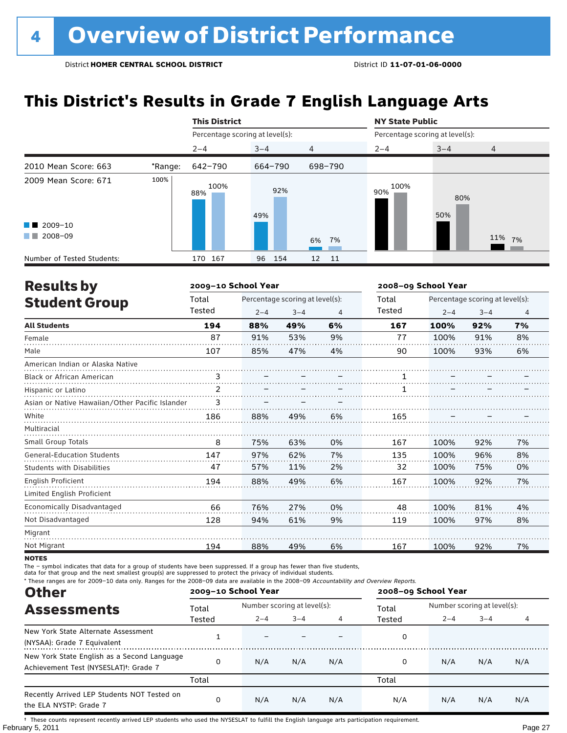### **This District's Results in Grade 7 English Language Arts**

| Percentage scoring at level(s):<br>4 |
|--------------------------------------|
|                                      |
|                                      |
|                                      |
| 80%<br>11% 7%                        |
|                                      |
|                                      |

| <b>Results by</b>                               |        | 2009-10 School Year             |         |    | 2008-09 School Year |                                 |         |    |  |
|-------------------------------------------------|--------|---------------------------------|---------|----|---------------------|---------------------------------|---------|----|--|
| <b>Student Group</b>                            | Total  | Percentage scoring at level(s): |         |    | Total               | Percentage scoring at level(s): |         |    |  |
|                                                 | Tested | $2 - 4$                         | $3 - 4$ | 4  | Tested              | $2 - 4$                         | $3 - 4$ | 4  |  |
| <b>All Students</b>                             | 194    | 88%                             | 49%     | 6% | 167                 | 100%                            | 92%     | 7% |  |
| Female                                          | 87     | 91%                             | 53%     | 9% | 77                  | 100%                            | 91%     | 8% |  |
| Male                                            | 107    | 85%                             | 47%     | 4% | 90                  | 100%                            | 93%     | 6% |  |
| American Indian or Alaska Native                |        |                                 |         |    |                     |                                 |         |    |  |
| <b>Black or African American</b>                | 3      |                                 |         |    |                     |                                 |         |    |  |
| Hispanic or Latino                              | 2      |                                 |         |    |                     |                                 |         |    |  |
| Asian or Native Hawaiian/Other Pacific Islander | 3      |                                 |         |    |                     |                                 |         |    |  |
| White                                           | 186    | 88%                             | 49%     | 6% | 165                 |                                 |         |    |  |
| Multiracial                                     |        |                                 |         |    |                     |                                 |         |    |  |
| <b>Small Group Totals</b>                       | 8      | 75%                             | 63%     | 0% | 167                 | 100%                            | 92%     | 7% |  |
| <b>General-Education Students</b>               | 147    | 97%                             | 62%     | 7% | 135                 | 100%                            | 96%     | 8% |  |
| <b>Students with Disabilities</b>               | 47     | 57%                             | 11%     | 2% | 32                  | 100%                            | 75%     | 0% |  |
| <b>English Proficient</b>                       | 194    | 88%                             | 49%     | 6% | 167                 | 100%                            | 92%     | 7% |  |
| Limited English Proficient                      |        |                                 |         |    |                     |                                 |         |    |  |
| <b>Economically Disadvantaged</b>               | 66     | 76%                             | 27%     | 0% | 48                  | 100%                            | 81%     | 4% |  |
| Not Disadvantaged                               | 128    | 94%                             | 61%     | 9% | 119                 | 100%                            | 97%     | 8% |  |
| Migrant                                         |        |                                 |         |    |                     |                                 |         |    |  |
| Not Migrant                                     | 194    | 88%                             | 49%     | 6% | 167                 | 100%                            | 92%     | 7% |  |

**NOTES** 

The – symbol indicates that data for a group of students have been suppressed. If a group has fewer than five students,

data for that group and the next smallest group(s) are suppressed to protect the privacy of individual students.

\* These ranges are for 2009–10 data only. Ranges for the 2008–09 data are available in the 2008–09 Accountability and Overview Reports.

| <b>Other</b>                                                                                      |        | 2009-10 School Year |                             |     | 2008-09 School Year |                             |         |     |
|---------------------------------------------------------------------------------------------------|--------|---------------------|-----------------------------|-----|---------------------|-----------------------------|---------|-----|
| <b>Assessments</b>                                                                                | Total  |                     | Number scoring at level(s): |     |                     | Number scoring at level(s): |         |     |
|                                                                                                   | Tested | $2 - 4$             | $3 - 4$                     | 4   | Tested              | $2 - 4$                     | $3 - 4$ | 4   |
| New York State Alternate Assessment<br>(NYSAA): Grade 7 Equivalent                                |        |                     |                             |     | 0                   |                             |         |     |
| New York State English as a Second Language<br>Achievement Test (NYSESLAT) <sup>+</sup> : Grade 7 |        | N/A                 | N/A                         | N/A | 0                   | N/A                         | N/A     | N/A |
|                                                                                                   | Total  |                     |                             |     | Total               |                             |         |     |
| Recently Arrived LEP Students NOT Tested on<br>the ELA NYSTP: Grade 7                             |        | N/A                 | N/A                         | N/A | N/A                 | N/A                         | N/A     | N/A |

February 5, 2011 Page 27 † These counts represent recently arrived LEP students who used the NYSESLAT to fulfill the English language arts participation requirement.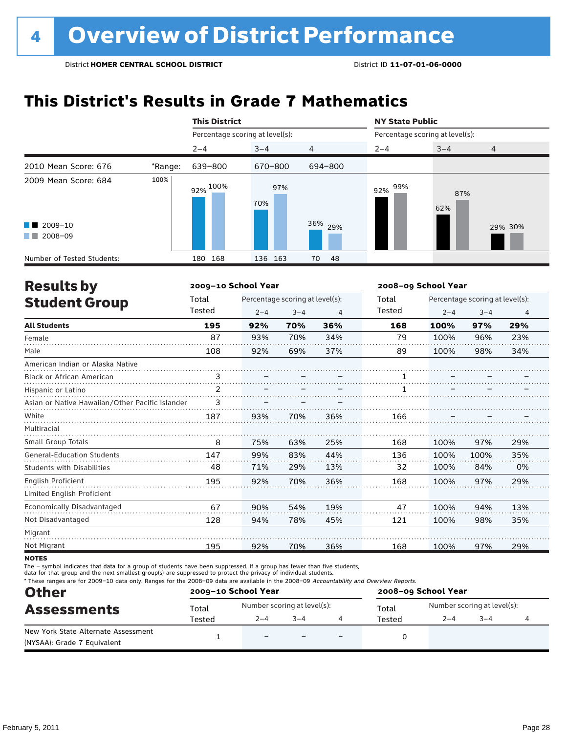### **This District's Results in Grade 7 Mathematics**

|                                                     |         | <b>This District</b>            |            |          | <b>NY State Public</b><br>Percentage scoring at level(s): |            |         |  |
|-----------------------------------------------------|---------|---------------------------------|------------|----------|-----------------------------------------------------------|------------|---------|--|
|                                                     |         | Percentage scoring at level(s): |            |          |                                                           |            |         |  |
|                                                     |         | $2 - 4$                         | $3 - 4$    | 4        | $2 - 4$                                                   | $3 - 4$    | 4       |  |
| 2010 Mean Score: 676                                | *Range: | 639-800                         | 670-800    | 694-800  |                                                           |            |         |  |
| 2009 Mean Score: 684                                | 100%    | 92% 100%                        | 97%<br>70% |          | 99%<br>92%                                                | 87%<br>62% |         |  |
| $\blacksquare$ 2009-10<br>2008-09<br><b>COLLEGE</b> |         |                                 |            | 36% 29%  |                                                           |            | 29% 30% |  |
| Number of Tested Students:                          |         | 168<br>180                      | 136 163    | 48<br>70 |                                                           |            |         |  |

| <b>Results by</b>                               |        | 2009-10 School Year |                                 |     | 2008-09 School Year |                                 |         |                |  |
|-------------------------------------------------|--------|---------------------|---------------------------------|-----|---------------------|---------------------------------|---------|----------------|--|
| <b>Student Group</b>                            | Total  |                     | Percentage scoring at level(s): |     |                     | Percentage scoring at level(s): |         |                |  |
|                                                 | Tested | $2 - 4$             | $3 - 4$                         | 4   | Tested              | $2 - 4$                         | $3 - 4$ | $\overline{4}$ |  |
| <b>All Students</b>                             | 195    | 92%                 | 70%                             | 36% | 168                 | 100%                            | 97%     | 29%            |  |
| Female                                          | 87     | 93%                 | 70%                             | 34% | 79                  | 100%                            | 96%     | 23%            |  |
| Male                                            | 108    | 92%                 | 69%                             | 37% | 89                  | 100%                            | 98%     | 34%            |  |
| American Indian or Alaska Native                |        |                     |                                 |     |                     |                                 |         |                |  |
| <b>Black or African American</b>                | 3      |                     |                                 |     |                     |                                 |         |                |  |
| Hispanic or Latino                              | 2      |                     |                                 |     |                     |                                 |         |                |  |
| Asian or Native Hawaiian/Other Pacific Islander | 3      |                     |                                 |     |                     |                                 |         |                |  |
| White                                           | 187    | 93%                 | 70%                             | 36% | 166                 |                                 |         |                |  |
| Multiracial                                     |        |                     |                                 |     |                     |                                 |         |                |  |
| Small Group Totals                              | 8      | 75%                 | 63%                             | 25% | 168                 | 100%                            | 97%     | 29%            |  |
| <b>General-Education Students</b>               | 147    | 99%                 | 83%                             | 44% | 136                 | 100%                            | 100%    | 35%            |  |
| <b>Students with Disabilities</b>               | 48     | 71%                 | 29%                             | 13% | 32                  | 100%                            | 84%     | 0%             |  |
| <b>English Proficient</b>                       | 195    | 92%                 | 70%                             | 36% | 168                 | 100%                            | 97%     | 29%            |  |
| Limited English Proficient                      |        |                     |                                 |     |                     |                                 |         |                |  |
| <b>Economically Disadvantaged</b>               | 67     | 90%                 | 54%                             | 19% | 47                  | 100%                            | 94%     | 13%            |  |
| Not Disadvantaged                               | 128    | 94%                 | 78%                             | 45% | 121                 | 100%                            | 98%     | 35%            |  |
| Migrant                                         |        |                     |                                 |     |                     |                                 |         |                |  |
| Not Migrant                                     | 195    | 92%                 | 70%                             | 36% | 168                 | 100%                            | 97%     | 29%            |  |

**NOTES** 

The – symbol indicates that data for a group of students have been suppressed. If a group has fewer than five students,

data for that group and the next smallest group(s) are suppressed to protect the privacy of individual students.

\* These ranges are for 2009–10 data only. Ranges for the 2008–09 data are available in the 2008–09 Accountability and Overview Reports.

| <b>Other</b><br><b>Assessments</b>  |        | 2009-10 School Year |                             |                          | 2008-09 School Year |                             |         |  |  |
|-------------------------------------|--------|---------------------|-----------------------------|--------------------------|---------------------|-----------------------------|---------|--|--|
|                                     | Total  |                     | Number scoring at level(s): |                          | Total               | Number scoring at level(s): |         |  |  |
|                                     | Tested | $2 - 4$             | $3 - 4$                     |                          | Tested              | $2 - 4$                     | $3 - 4$ |  |  |
| New York State Alternate Assessment |        | $\qquad \qquad -$   |                             | $\overline{\phantom{0}}$ |                     |                             |         |  |  |
| (NYSAA): Grade 7 Equivalent         |        |                     |                             |                          |                     |                             |         |  |  |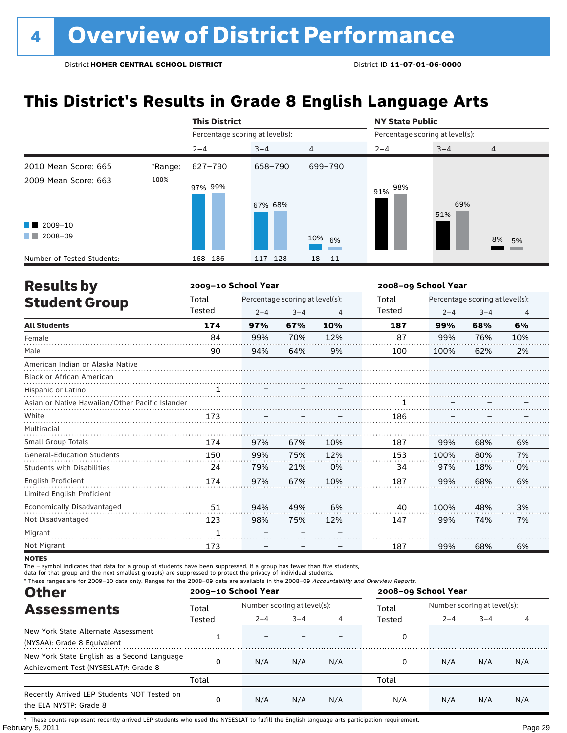### **This District's Results in Grade 8 English Language Arts**

|                                                |         | <b>This District</b>            |         |                |            | <b>NY State Public</b><br>Percentage scoring at level(s): |                |  |  |
|------------------------------------------------|---------|---------------------------------|---------|----------------|------------|-----------------------------------------------------------|----------------|--|--|
|                                                |         | Percentage scoring at level(s): |         |                |            |                                                           |                |  |  |
|                                                |         | $2 - 4$                         | $3 - 4$ | $\overline{4}$ | $2 - 4$    | $3 - 4$                                                   | $\overline{4}$ |  |  |
| 2010 Mean Score: 665                           | *Range: | 627-790                         | 658-790 | 699-790        |            |                                                           |                |  |  |
| 2009 Mean Score: 663<br>$\blacksquare$ 2009-10 | 100%    | 97% 99%                         | 67% 68% |                | 98%<br>91% | 69%<br>51%                                                |                |  |  |
| 2008-09<br><b>COLLEGE</b>                      |         |                                 |         | 10% 6%         |            |                                                           | 8% 5%          |  |  |
| Number of Tested Students:                     |         | 168 186                         | 117 128 | 18<br>11       |            |                                                           |                |  |  |

| <b>Results by</b>                               |              | 2009-10 School Year |                                 |                  | 2008-09 School Year |                                 |         |                |  |
|-------------------------------------------------|--------------|---------------------|---------------------------------|------------------|---------------------|---------------------------------|---------|----------------|--|
| <b>Student Group</b>                            | Total        |                     | Percentage scoring at level(s): |                  |                     | Percentage scoring at level(s): |         |                |  |
|                                                 | Tested       | $2 - 4$             | $3 - 4$                         | 4                | Tested              | $2 - 4$                         | $3 - 4$ | $\overline{4}$ |  |
| <b>All Students</b>                             | 174          | 97%                 | 67%                             | 10%              | 187                 | 99%                             | 68%     | 6%             |  |
| Female                                          | 84           | 99%                 | 70%                             | 12%              | 87                  | 99%                             | 76%     | 10%            |  |
| Male                                            | 90           | 94%                 | 64%                             | 9%               | 100                 | 100%                            | 62%     | 2%             |  |
| American Indian or Alaska Native                |              |                     |                                 |                  |                     |                                 |         |                |  |
| Black or African American                       |              |                     |                                 |                  |                     |                                 |         |                |  |
| Hispanic or Latino                              | $\mathbf{1}$ |                     |                                 |                  |                     |                                 |         |                |  |
| Asian or Native Hawaiian/Other Pacific Islander |              |                     |                                 |                  |                     |                                 |         |                |  |
| White                                           | 173          |                     |                                 | <u> 1. 7. 7.</u> | 186                 |                                 |         |                |  |
| Multiracial                                     |              |                     |                                 |                  |                     |                                 |         |                |  |
| Small Group Totals                              | 174          | 97%                 | 67%                             | 10%              | 187                 | 99%                             | 68%     | 6%             |  |
| <b>General-Education Students</b>               | 150          | 99%                 | 75%                             | 12%              | 153                 | 100%                            | 80%     | 7%             |  |
| <b>Students with Disabilities</b>               | 24           | 79%                 | 21%                             | 0%               | 34                  | 97%                             | 18%     | 0%             |  |
| English Proficient                              | 174          | 97%                 | 67%                             | 10%              | 187                 | 99%                             | 68%     | 6%             |  |
| Limited English Proficient                      |              |                     |                                 |                  |                     |                                 |         |                |  |
| Economically Disadvantaged                      | 51           | 94%                 | 49%                             | 6%               | 40                  | 100%                            | 48%     | 3%             |  |
| Not Disadvantaged                               | 123          | 98%                 | 75%                             | 12%              | 147                 | 99%                             | 74%     | 7%             |  |
| Migrant                                         | 1            |                     |                                 |                  |                     |                                 |         |                |  |
| Not Migrant                                     | 173          |                     |                                 |                  | 187                 | 99%                             | 68%     | 6%             |  |

**NOTES** 

The – symbol indicates that data for a group of students have been suppressed. If a group has fewer than five students,

data for that group and the next smallest group(s) are suppressed to protect the privacy of individual students.

\* These ranges are for 2009–10 data only. Ranges for the 2008–09 data are available in the 2008–09 Accountability and Overview Reports.

| <b>Other</b>                                                                                      |        | 2009-10 School Year |                             |     | 2008-09 School Year |                             |         |     |
|---------------------------------------------------------------------------------------------------|--------|---------------------|-----------------------------|-----|---------------------|-----------------------------|---------|-----|
| <b>Assessments</b>                                                                                | Total  |                     | Number scoring at level(s): |     |                     | Number scoring at level(s): |         |     |
|                                                                                                   | Tested | $2 - 4$             | $3 - 4$                     |     | Tested              | $2 - 4$                     | $3 - 4$ | 4   |
| New York State Alternate Assessment<br>(NYSAA): Grade 8 Equivalent                                |        |                     |                             |     | 0                   |                             |         |     |
| New York State English as a Second Language<br>Achievement Test (NYSESLAT) <sup>†</sup> : Grade 8 |        | N/A                 | N/A                         | N/A | 0                   | N/A                         | N/A     | N/A |
|                                                                                                   | Total  |                     |                             |     | Total               |                             |         |     |
| Recently Arrived LEP Students NOT Tested on<br>the ELA NYSTP: Grade 8                             |        | N/A                 | N/A                         | N/A | N/A                 | N/A                         | N/A     | N/A |

February 5, 2011 Page 29 † These counts represent recently arrived LEP students who used the NYSESLAT to fulfill the English language arts participation requirement.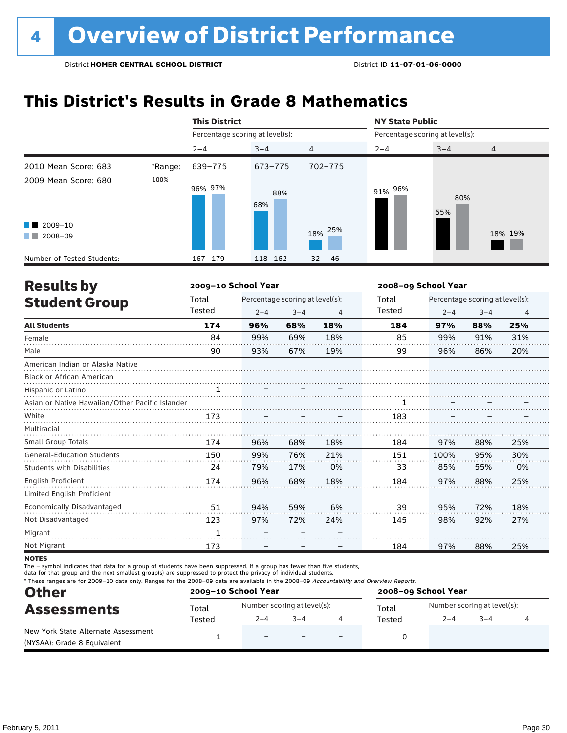### **This District's Results in Grade 8 Mathematics**

|                                                                                                                                                                                                                                                                           |         | <b>This District</b>            |            |            | <b>NY State Public</b>          |            |         |  |  |
|---------------------------------------------------------------------------------------------------------------------------------------------------------------------------------------------------------------------------------------------------------------------------|---------|---------------------------------|------------|------------|---------------------------------|------------|---------|--|--|
|                                                                                                                                                                                                                                                                           |         | Percentage scoring at level(s): |            |            | Percentage scoring at level(s): |            |         |  |  |
|                                                                                                                                                                                                                                                                           |         | $2 - 4$                         | $3 - 4$    | 4          | $2 - 4$                         | $3 - 4$    | 4       |  |  |
| 2010 Mean Score: 683                                                                                                                                                                                                                                                      | *Range: | 639-775                         | 673-775    | 702-775    |                                 |            |         |  |  |
| 2009 Mean Score: 680                                                                                                                                                                                                                                                      | 100%    | 96% 97%                         | 88%<br>68% |            | 91% 96%                         | 80%<br>55% |         |  |  |
| $\blacksquare$ 2009-10<br>2008-09<br><b>The Contract of the Contract of the Contract of the Contract of the Contract of the Contract of the Contract of the Contract of the Contract of the Contract of the Contract of the Contract of The Contract of The Contract </b> |         |                                 |            | 25%<br>18% |                                 |            | 18% 19% |  |  |
| Number of Tested Students:                                                                                                                                                                                                                                                |         | 179<br>167                      | 118 162    | 46<br>32   |                                 |            |         |  |  |

| <b>Results by</b>                               |              | 2009-10 School Year |                                 |     | 2008-09 School Year |                                 |         |                |
|-------------------------------------------------|--------------|---------------------|---------------------------------|-----|---------------------|---------------------------------|---------|----------------|
| <b>Student Group</b>                            | Total        |                     | Percentage scoring at level(s): |     |                     | Percentage scoring at level(s): |         |                |
|                                                 | Tested       | $2 - 4$             | $3 - 4$                         | 4   | Tested              | $2 - 4$                         | $3 - 4$ | $\overline{4}$ |
| <b>All Students</b>                             | 174          | 96%                 | 68%                             | 18% | 184                 | 97%                             | 88%     | 25%            |
| Female                                          | 84           | 99%                 | 69%                             | 18% | 85                  | 99%                             | 91%     | 31%            |
| Male                                            | 90           | 93%                 | 67%                             | 19% | 99                  | 96%                             | 86%     | 20%            |
| American Indian or Alaska Native                |              |                     |                                 |     |                     |                                 |         |                |
| <b>Black or African American</b>                |              |                     |                                 |     |                     |                                 |         |                |
| Hispanic or Latino                              | $\mathbf{1}$ |                     |                                 |     |                     |                                 |         |                |
| Asian or Native Hawaiian/Other Pacific Islander |              |                     |                                 |     |                     |                                 |         |                |
| White                                           | 173          |                     |                                 |     | 183                 |                                 |         |                |
| Multiracial                                     |              |                     |                                 |     |                     |                                 |         |                |
| <b>Small Group Totals</b>                       | 174          | 96%                 | 68%                             | 18% | 184                 | 97%                             | 88%     | 25%            |
| <b>General-Education Students</b>               | 150          | 99%                 | 76%                             | 21% | 151                 | 100%                            | 95%     | 30%            |
| <b>Students with Disabilities</b>               | 24           | 79%                 | 17%                             | 0%  | 33                  | 85%                             | 55%     | 0%             |
| English Proficient                              | 174          | 96%                 | 68%                             | 18% | 184                 | 97%                             | 88%     | 25%            |
| Limited English Proficient                      |              |                     |                                 |     |                     |                                 |         |                |
| Economically Disadvantaged                      | 51           | 94%                 | 59%                             | 6%  | 39                  | 95%                             | 72%     | 18%            |
| Not Disadvantaged                               | 123          | 97%                 | 72%                             | 24% | 145                 | 98%                             | 92%     | 27%            |
| Migrant                                         | 1            |                     |                                 |     |                     |                                 |         |                |
| Not Migrant                                     | 173          |                     |                                 |     | 184                 | 97%                             | 88%     | 25%            |

**NOTES** 

The – symbol indicates that data for a group of students have been suppressed. If a group has fewer than five students,

data for that group and the next smallest group(s) are suppressed to protect the privacy of individual students.

\* These ranges are for 2009–10 data only. Ranges for the 2008–09 data are available in the 2008–09 Accountability and Overview Reports.

| <b>Other</b><br><b>Assessments</b>  | 2009-10 School Year |                             |         |                          | 2008-09 School Year |                             |         |  |  |
|-------------------------------------|---------------------|-----------------------------|---------|--------------------------|---------------------|-----------------------------|---------|--|--|
|                                     | Total               | Number scoring at level(s): |         |                          | Total               | Number scoring at level(s): |         |  |  |
|                                     | Tested              | $2 - 4$                     | $3 - 4$ |                          | Tested              | $2 - 4$                     | $3 - 4$ |  |  |
| New York State Alternate Assessment |                     | $\overline{\phantom{0}}$    |         | $\overline{\phantom{0}}$ |                     |                             |         |  |  |
| (NYSAA): Grade 8 Equivalent         |                     |                             |         |                          |                     |                             |         |  |  |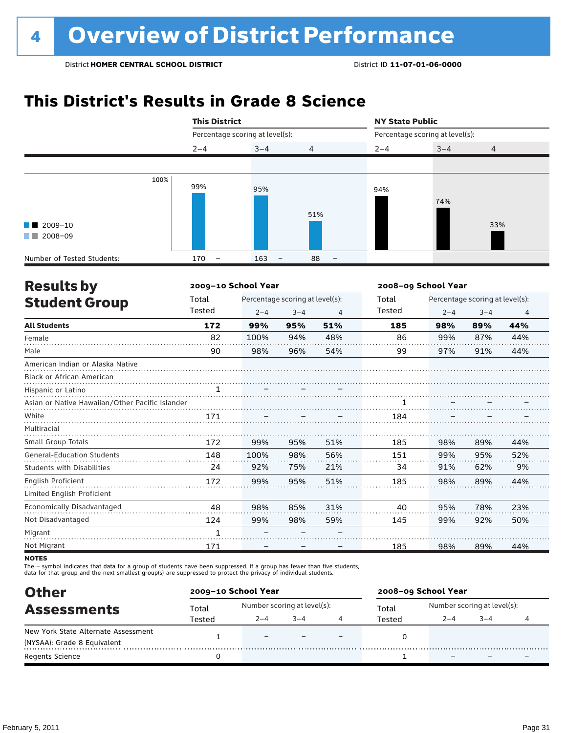### **This District's Results in Grade 8 Science**

|                                                  |      | <b>This District</b>            |                                 |                                | <b>NY State Public</b>          |         |     |  |  |
|--------------------------------------------------|------|---------------------------------|---------------------------------|--------------------------------|---------------------------------|---------|-----|--|--|
|                                                  |      |                                 | Percentage scoring at level(s): |                                | Percentage scoring at level(s): |         |     |  |  |
|                                                  |      | $2 - 4$                         | $3 - 4$                         | $\overline{4}$                 | $2 - 4$                         | $3 - 4$ | 4   |  |  |
|                                                  |      |                                 |                                 |                                |                                 |         |     |  |  |
| $\blacksquare$ 2009-10<br>$\blacksquare$ 2008-09 | 100% | 99%                             | 95%                             | 51%                            | 94%                             | 74%     | 33% |  |  |
| Number of Tested Students:                       |      | 170<br>$\overline{\phantom{m}}$ | 163<br>$\qquad \qquad -$        | 88<br>$\overline{\phantom{m}}$ |                                 |         |     |  |  |

| <b>Results by</b>                               |              | 2009-10 School Year |                                 |                | 2008-09 School Year |                                 |         |                |
|-------------------------------------------------|--------------|---------------------|---------------------------------|----------------|---------------------|---------------------------------|---------|----------------|
| <b>Student Group</b>                            | Total        |                     | Percentage scoring at level(s): |                | Total               | Percentage scoring at level(s): |         |                |
|                                                 | Tested       | $2 - 4$             | $3 - 4$                         | $\overline{4}$ | Tested              | $2 - 4$                         | $3 - 4$ | $\overline{4}$ |
| <b>All Students</b>                             | 172          | 99%                 | 95%                             | 51%            | 185                 | 98%                             | 89%     | 44%            |
| Female                                          | 82           | 100%                | 94%                             | 48%            | 86                  | 99%                             | 87%     | 44%            |
| Male                                            | 90           | 98%                 | 96%                             | 54%            | 99                  | 97%                             | 91%     | 44%            |
| American Indian or Alaska Native                |              |                     |                                 |                |                     |                                 |         |                |
| Black or African American                       |              |                     |                                 |                |                     |                                 |         |                |
| Hispanic or Latino                              | $\mathbf{1}$ |                     |                                 |                |                     |                                 |         |                |
| Asian or Native Hawaiian/Other Pacific Islander |              |                     |                                 |                |                     |                                 |         |                |
| White                                           | 171          |                     |                                 |                | 184                 |                                 |         |                |
| Multiracial                                     |              |                     |                                 |                |                     |                                 |         |                |
| Small Group Totals                              | 172          | 99%                 | 95%                             | 51%            | 185                 | 98%                             | 89%     | 44%            |
| <b>General-Education Students</b>               | 148          | 100%                | 98%                             | 56%            | 151                 | 99%                             | 95%     | 52%            |
| <b>Students with Disabilities</b>               | 24           | 92%                 | 75%                             | 21%            | 34                  | 91%                             | 62%     | 9%             |
| <b>English Proficient</b>                       | 172          | 99%                 | 95%                             | 51%            | 185                 | 98%                             | 89%     | 44%            |
| Limited English Proficient                      |              |                     |                                 |                |                     |                                 |         |                |
| Economically Disadvantaged                      | 48           | 98%                 | 85%                             | 31%            | 40                  | 95%                             | 78%     | 23%            |
| Not Disadvantaged                               | 124          | 99%                 | 98%                             | 59%            | 145                 | 99%                             | 92%     | 50%            |
| Migrant                                         | 1            |                     |                                 |                |                     |                                 |         |                |
| Not Migrant                                     | 171          |                     |                                 |                | 185                 | 98%                             | 89%     | 44%            |

**NOTES** 

The – symbol indicates that data for a group of students have been suppressed. If a group has fewer than five students,<br>data for that group and the next smallest group(s) are suppressed to protect the privacy of individual

| <b>Other</b>                        | 2009-10 School Year |                             |         |  | 2008-09 School Year |                             |      |  |  |
|-------------------------------------|---------------------|-----------------------------|---------|--|---------------------|-----------------------------|------|--|--|
| <b>Assessments</b>                  | Total               | Number scoring at level(s): |         |  | Total               | Number scoring at level(s): |      |  |  |
|                                     | Tested              | $2 - 4$                     | $3 - 4$ |  | Tested              | 2–4                         | $-4$ |  |  |
| New York State Alternate Assessment |                     | $\overline{\phantom{0}}$    |         |  |                     |                             |      |  |  |
| (NYSAA): Grade 8 Equivalent         |                     |                             |         |  |                     |                             |      |  |  |
| <b>Regents Science</b>              |                     |                             |         |  |                     |                             |      |  |  |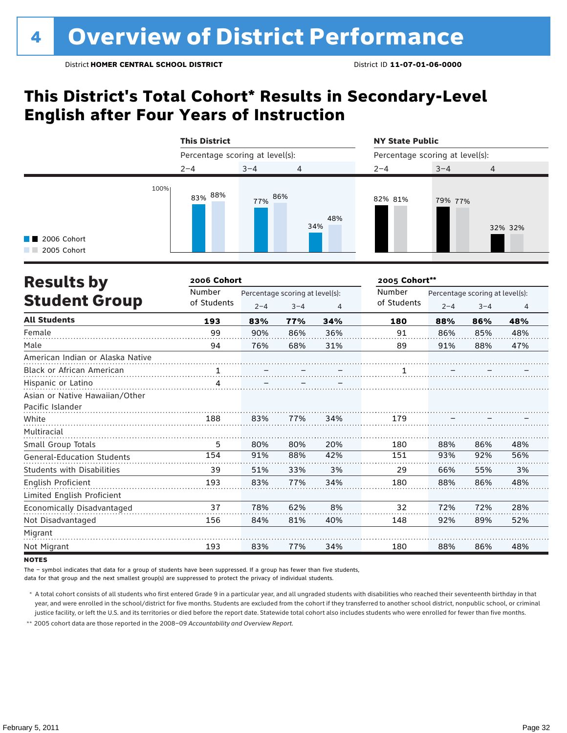### **This District's Total Cohort\* Results in Secondary-Level English after Four Years of Instruction**



| <b>Results by</b>                 | 2006 Cohort       |                                 |         |                | 2005 Cohort** |                                 |         |                |
|-----------------------------------|-------------------|---------------------------------|---------|----------------|---------------|---------------------------------|---------|----------------|
|                                   | Number            | Percentage scoring at level(s): |         |                | Number        | Percentage scoring at level(s): |         |                |
| <b>Student Group</b>              | of Students       | $2 - 4$                         | $3 - 4$ | $\overline{4}$ | of Students   | $2 - 4$                         | $3 - 4$ | $\overline{4}$ |
| <b>All Students</b>               | 193               | 83%                             | 77%     | 34%            | 180           | 88%                             | 86%     | 48%            |
| Female                            | 99                | 90%                             | 86%     | 36%            | 91            | 86%                             | 85%     | 48%            |
| Male                              | 94                | 76%                             | 68%     | 31%            | 89            | 91%                             | 88%     | 47%            |
| American Indian or Alaska Native  |                   |                                 |         |                |               |                                 |         |                |
| <b>Black or African American</b>  | $\frac{1}{\cdot}$ |                                 |         |                | 1             |                                 |         |                |
| Hispanic or Latino                | $\Lambda$         |                                 |         |                |               |                                 |         |                |
| Asian or Native Hawaiian/Other    |                   |                                 |         |                |               |                                 |         |                |
| Pacific Islander                  |                   |                                 |         |                |               |                                 |         |                |
| White                             | 188               | 83%                             | 77%     | 34%            | 179           |                                 |         |                |
| Multiracial                       |                   |                                 |         |                |               |                                 |         |                |
| Small Group Totals                | 5                 | 80%                             | 80%     | 20%            | 180           | 88%                             | 86%     | 48%            |
| <b>General-Education Students</b> | 154               | 91%                             | 88%     | 42%            | 151           | 93%                             | 92%     | 56%            |
| <b>Students with Disabilities</b> | 39                | 51%                             | 33%     | 3%             | 29            | 66%                             | 55%     | 3%             |
| English Proficient                | 193               | 83%                             | 77%     | 34%            | 180           | 88%                             | 86%     | 48%            |
| Limited English Proficient        |                   |                                 |         |                |               |                                 |         |                |
| Economically Disadvantaged        | 37                | 78%                             | 62%     | 8%             | 32            | 72%                             | 72%     | 28%            |
| Not Disadvantaged                 | 156               | 84%                             | 81%     | 40%            | 148           | 92%                             | 89%     | 52%            |
| Migrant                           |                   |                                 |         |                |               |                                 |         |                |
| Not Migrant                       | 193               | 83%                             | 77%     | 34%            | 180           | 88%                             | 86%     | 48%            |

**NOTES** 

The – symbol indicates that data for a group of students have been suppressed. If a group has fewer than five students,

data for that group and the next smallest group(s) are suppressed to protect the privacy of individual students.

 \* A total cohort consists of all students who first entered Grade 9 in a particular year, and all ungraded students with disabilities who reached their seventeenth birthday in that year, and were enrolled in the school/district for five months. Students are excluded from the cohort if they transferred to another school district, nonpublic school, or criminal justice facility, or left the U.S. and its territories or died before the report date. Statewide total cohort also includes students who were enrolled for fewer than five months.

 \*\* 2005 cohort data are those reported in the 2008–09 *Accountability and Overview Report*.